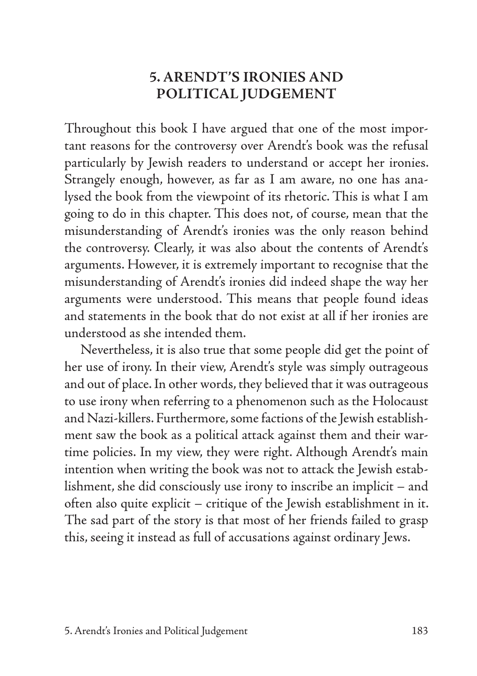# **5. ARENDT'S IRONIES AND POLITICAL JUDGEMENT**

Throughout this book I have argued that one of the most important reasons for the controversy over Arendt's book was the refusal particularly by Jewish readers to understand or accept her ironies. Strangely enough, however, as far as I am aware, no one has analysed the book from the viewpoint of its rhetoric. This is what I am going to do in this chapter. This does not, of course, mean that the misunderstanding of Arendt's ironies was the only reason behind the controversy. Clearly, it was also about the contents of Arendt's arguments. However, it is extremely important to recognise that the misunderstanding of Arendt's ironies did indeed shape the way her arguments were understood. This means that people found ideas and statements in the book that do not exist at all if her ironies are understood as she intended them.

Nevertheless, it is also true that some people did get the point of her use of irony. In their view, Arendt's style was simply outrageous and out of place. In other words, they believed that it was outrageous to use irony when referring to a phenomenon such as the Holocaust and Nazi-killers. Furthermore, some factions of the Jewish establishment saw the book as a political attack against them and their wartime policies. In my view, they were right. Although Arendt's main intention when writing the book was not to attack the Jewish establishment, she did consciously use irony to inscribe an implicit – and often also quite explicit – critique of the Jewish establishment in it. The sad part of the story is that most of her friends failed to grasp this, seeing it instead as full of accusations against ordinary Jews.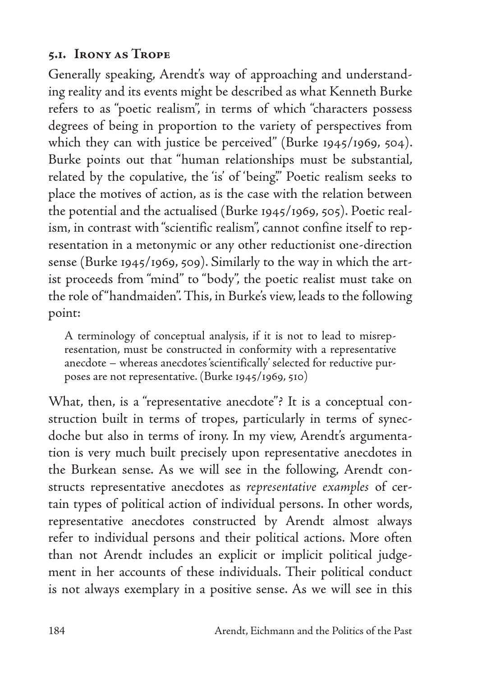## **5.1. Irony as Trope**

Generally speaking, Arendt's way of approaching and understanding reality and its events might be described as what Kenneth Burke refers to as "poetic realism", in terms of which "characters possess degrees of being in proportion to the variety of perspectives from which they can with justice be perceived" (Burke 1945/1969, 504). Burke points out that "human relationships must be substantial, related by the copulative, the 'is' of 'being'." Poetic realism seeks to place the motives of action, as is the case with the relation between the potential and the actualised (Burke 1945/1969, 505). Poetic realism, in contrast with "scientific realism", cannot confine itself to representation in a metonymic or any other reductionist one-direction sense (Burke 1945/1969, 509). Similarly to the way in which the artist proceeds from "mind" to "body", the poetic realist must take on the role of "handmaiden". This, in Burke's view, leads to the following point:

A terminology of conceptual analysis, if it is not to lead to misrepresentation, must be constructed in conformity with a representative anecdote – whereas anecdotes 'scientifically' selected for reductive purposes are not representative. (Burke 1945/1969, 510)

What, then, is a "representative anecdote"? It is a conceptual construction built in terms of tropes, particularly in terms of synecdoche but also in terms of irony. In my view, Arendt's argumentation is very much built precisely upon representative anecdotes in the Burkean sense. As we will see in the following, Arendt constructs representative anecdotes as *representative examples* of certain types of political action of individual persons. In other words, representative anecdotes constructed by Arendt almost always refer to individual persons and their political actions. More often than not Arendt includes an explicit or implicit political judgement in her accounts of these individuals. Their political conduct is not always exemplary in a positive sense. As we will see in this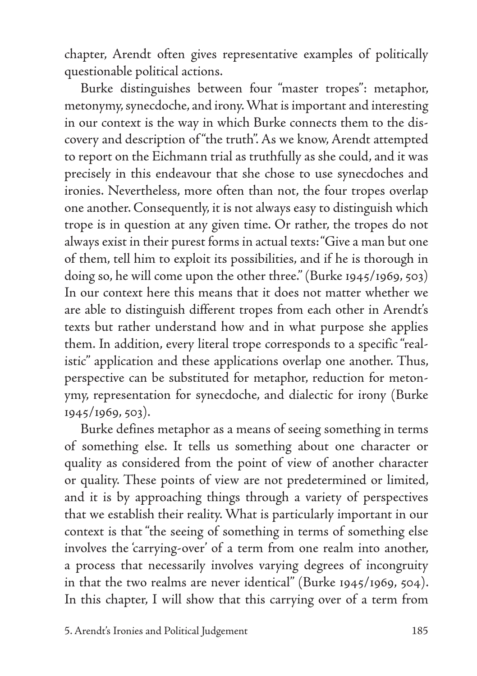chapter, Arendt often gives representative examples of politically questionable political actions.

Burke distinguishes between four "master tropes": metaphor, metonymy, synecdoche, and irony. What is important and interesting in our context is the way in which Burke connects them to the discovery and description of "the truth". As we know, Arendt attempted to report on the Eichmann trial as truthfully as she could, and it was precisely in this endeavour that she chose to use synecdoches and ironies. Nevertheless, more often than not, the four tropes overlap one another. Consequently, it is not always easy to distinguish which trope is in question at any given time. Or rather, the tropes do not always exist in their purest forms in actual texts: "Give a man but one of them, tell him to exploit its possibilities, and if he is thorough in doing so, he will come upon the other three." (Burke 1945/1969, 503) In our context here this means that it does not matter whether we are able to distinguish different tropes from each other in Arendt's texts but rather understand how and in what purpose she applies them. In addition, every literal trope corresponds to a specific "realistic" application and these applications overlap one another. Thus, perspective can be substituted for metaphor, reduction for metonymy, representation for synecdoche, and dialectic for irony (Burke 1945/1969, 503).

Burke defines metaphor as a means of seeing something in terms of something else. It tells us something about one character or quality as considered from the point of view of another character or quality. These points of view are not predetermined or limited, and it is by approaching things through a variety of perspectives that we establish their reality. What is particularly important in our context is that "the seeing of something in terms of something else involves the 'carrying-over' of a term from one realm into another, a process that necessarily involves varying degrees of incongruity in that the two realms are never identical" (Burke 1945/1969, 504). In this chapter, I will show that this carrying over of a term from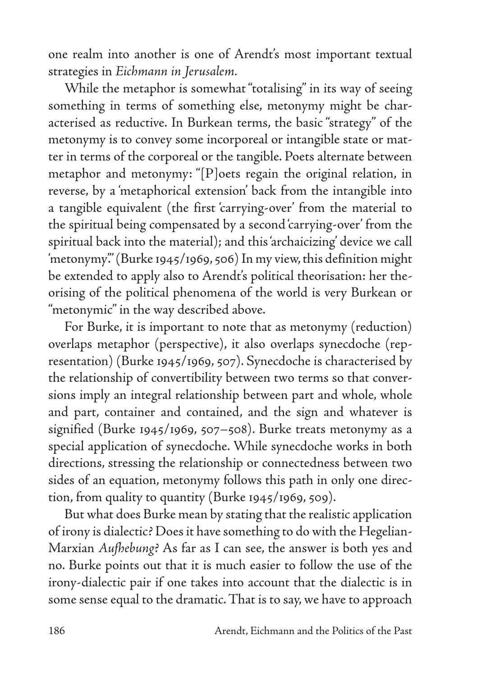one realm into another is one of Arendt's most important textual strategies in *Eichmann in Jerusalem.*

While the metaphor is somewhat "totalising" in its way of seeing something in terms of something else, metonymy might be characterised as reductive. In Burkean terms, the basic "strategy" of the metonymy is to convey some incorporeal or intangible state or matter in terms of the corporeal or the tangible. Poets alternate between metaphor and metonymy: "[P]oets regain the original relation, in reverse, by a 'metaphorical extension' back from the intangible into a tangible equivalent (the first 'carrying-over' from the material to the spiritual being compensated by a second 'carrying-over' from the spiritual back into the material); and this 'archaicizing' device we call 'metonymy'." (Burke 1945/1969, 506) In my view, this definition might be extended to apply also to Arendt's political theorisation: her theorising of the political phenomena of the world is very Burkean or "metonymic" in the way described above.

For Burke, it is important to note that as metonymy (reduction) overlaps metaphor (perspective), it also overlaps synecdoche (representation) (Burke 1945/1969, 507). Synecdoche is characterised by the relationship of convertibility between two terms so that conversions imply an integral relationship between part and whole, whole and part, container and contained, and the sign and whatever is signified (Burke 1945/1969, 507–508). Burke treats metonymy as a special application of synecdoche. While synecdoche works in both directions, stressing the relationship or connectedness between two sides of an equation, metonymy follows this path in only one direction, from quality to quantity (Burke 1945/1969, 509).

But what does Burke mean by stating that the realistic application of irony is dialectic? Does it have something to do with the Hegelian-Marxian *Aufhebung*? As far as I can see, the answer is both yes and no. Burke points out that it is much easier to follow the use of the irony-dialectic pair if one takes into account that the dialectic is in some sense equal to the dramatic. That is to say, we have to approach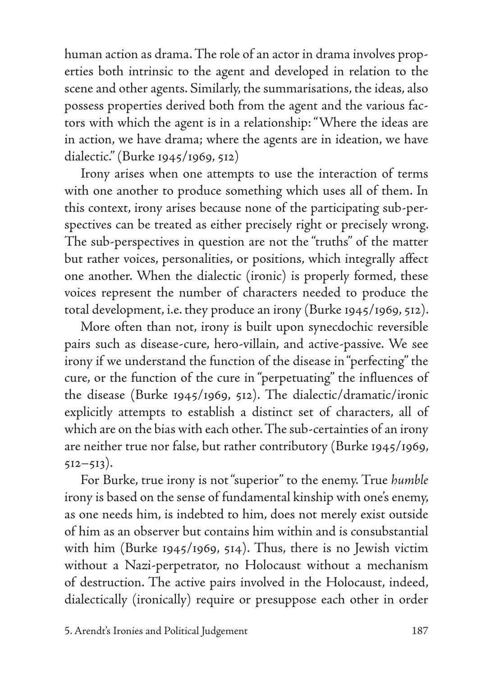human action as drama. The role of an actor in drama involves properties both intrinsic to the agent and developed in relation to the scene and other agents. Similarly, the summarisations, the ideas, also possess properties derived both from the agent and the various factors with which the agent is in a relationship: "Where the ideas are in action, we have drama; where the agents are in ideation, we have dialectic." (Burke 1945/1969, 512)

Irony arises when one attempts to use the interaction of terms with one another to produce something which uses all of them. In this context, irony arises because none of the participating sub-perspectives can be treated as either precisely right or precisely wrong. The sub-perspectives in question are not the "truths" of the matter but rather voices, personalities, or positions, which integrally affect one another. When the dialectic (ironic) is properly formed, these voices represent the number of characters needed to produce the total development, i.e. they produce an irony (Burke 1945/1969, 512).

More often than not, irony is built upon synecdochic reversible pairs such as disease-cure, hero-villain, and active-passive. We see irony if we understand the function of the disease in "perfecting" the cure, or the function of the cure in "perpetuating" the influences of the disease (Burke 1945/1969, 512). The dialectic/dramatic/ironic explicitly attempts to establish a distinct set of characters, all of which are on the bias with each other. The sub-certainties of an irony are neither true nor false, but rather contributory (Burke 1945/1969,  $512 - 513$ ).

For Burke, true irony is not "superior" to the enemy. True *humble*  irony is based on the sense of fundamental kinship with one's enemy, as one needs him, is indebted to him, does not merely exist outside of him as an observer but contains him within and is consubstantial with him (Burke 1945/1969, 514). Thus, there is no Jewish victim without a Nazi-perpetrator, no Holocaust without a mechanism of destruction. The active pairs involved in the Holocaust, indeed, dialectically (ironically) require or presuppose each other in order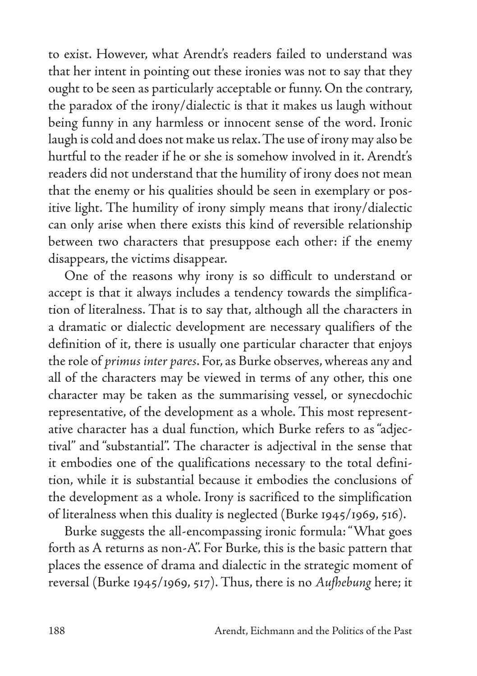to exist. However, what Arendt's readers failed to understand was that her intent in pointing out these ironies was not to say that they ought to be seen as particularly acceptable or funny. On the contrary, the paradox of the irony/dialectic is that it makes us laugh without being funny in any harmless or innocent sense of the word. Ironic laugh is cold and does not make us relax. The use of irony may also be hurtful to the reader if he or she is somehow involved in it. Arendt's readers did not understand that the humility of irony does not mean that the enemy or his qualities should be seen in exemplary or positive light. The humility of irony simply means that irony/dialectic can only arise when there exists this kind of reversible relationship between two characters that presuppose each other: if the enemy disappears, the victims disappear.

One of the reasons why irony is so difficult to understand or accept is that it always includes a tendency towards the simplification of literalness. That is to say that, although all the characters in a dramatic or dialectic development are necessary qualifiers of the definition of it, there is usually one particular character that enjoys the role of *primus inter pares*. For, as Burke observes, whereas any and all of the characters may be viewed in terms of any other, this one character may be taken as the summarising vessel, or synecdochic representative, of the development as a whole. This most representative character has a dual function, which Burke refers to as "adjectival" and "substantial". The character is adjectival in the sense that it embodies one of the qualifications necessary to the total definition, while it is substantial because it embodies the conclusions of the development as a whole. Irony is sacrificed to the simplification of literalness when this duality is neglected (Burke 1945/1969, 516).

Burke suggests the all-encompassing ironic formula: "What goes forth as A returns as non-A". For Burke, this is the basic pattern that places the essence of drama and dialectic in the strategic moment of reversal (Burke 1945/1969, 517). Thus, there is no *Aufhebung* here; it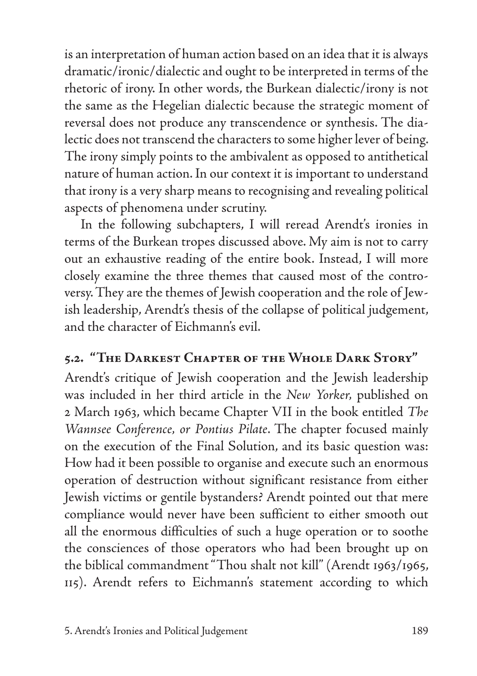is an interpretation of human action based on an idea that it is always dramatic/ironic/dialectic and ought to be interpreted in terms of the rhetoric of irony. In other words, the Burkean dialectic/irony is not the same as the Hegelian dialectic because the strategic moment of reversal does not produce any transcendence or synthesis. The dialectic does not transcend the characters to some higher lever of being. The irony simply points to the ambivalent as opposed to antithetical nature of human action. In our context it is important to understand that irony is a very sharp means to recognising and revealing political aspects of phenomena under scrutiny.

In the following subchapters, I will reread Arendt's ironies in terms of the Burkean tropes discussed above. My aim is not to carry out an exhaustive reading of the entire book. Instead, I will more closely examine the three themes that caused most of the controversy. They are the themes of Jewish cooperation and the role of Jewish leadership, Arendt's thesis of the collapse of political judgement, and the character of Eichmann's evil.

# **5.2. "The Darkest Chapter of the Whole Dark Story"**

Arendt's critique of Jewish cooperation and the Jewish leadership was included in her third article in the *New Yorker,* published on 2 March 1963, which became Chapter VII in the book entitled *The Wannsee Conference, or Pontius Pilate*. The chapter focused mainly on the execution of the Final Solution, and its basic question was: How had it been possible to organise and execute such an enormous operation of destruction without significant resistance from either Jewish victims or gentile bystanders? Arendt pointed out that mere compliance would never have been sufficient to either smooth out all the enormous difficulties of such a huge operation or to soothe the consciences of those operators who had been brought up on the biblical commandment "Thou shalt not kill" (Arendt 1963/1965, 115). Arendt refers to Eichmann's statement according to which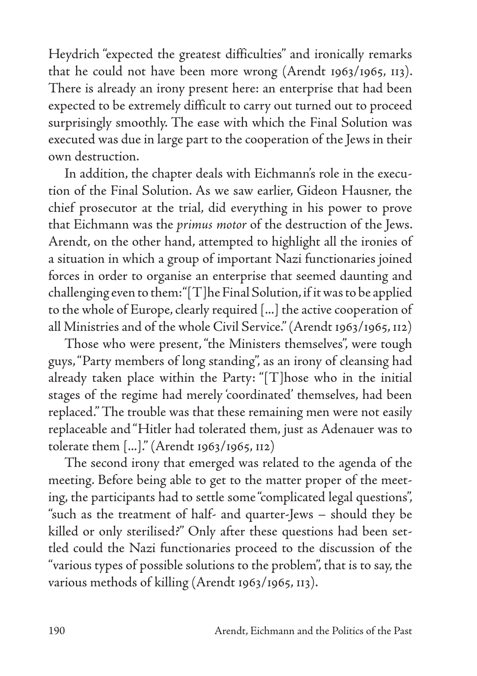Heydrich "expected the greatest difficulties" and ironically remarks that he could not have been more wrong (Arendt 1963/1965, 113). There is already an irony present here: an enterprise that had been expected to be extremely difficult to carry out turned out to proceed surprisingly smoothly. The ease with which the Final Solution was executed was due in large part to the cooperation of the Jews in their own destruction.

In addition, the chapter deals with Eichmann's role in the execution of the Final Solution. As we saw earlier, Gideon Hausner, the chief prosecutor at the trial, did everything in his power to prove that Eichmann was the *primus motor* of the destruction of the Jews. Arendt, on the other hand, attempted to highlight all the ironies of a situation in which a group of important Nazi functionaries joined forces in order to organise an enterprise that seemed daunting and challenging even to them: "[T]he Final Solution, if it was to be applied to the whole of Europe, clearly required [...] the active cooperation of all Ministries and of the whole Civil Service." (Arendt 1963/1965, 112)

Those who were present, "the Ministers themselves", were tough guys, "Party members of long standing", as an irony of cleansing had already taken place within the Party: "[T]hose who in the initial stages of the regime had merely 'coordinated' themselves, had been replaced." The trouble was that these remaining men were not easily replaceable and "Hitler had tolerated them, just as Adenauer was to tolerate them [...]." (Arendt 1963/1965, 112)

The second irony that emerged was related to the agenda of the meeting. Before being able to get to the matter proper of the meeting, the participants had to settle some "complicated legal questions", "such as the treatment of half- and quarter-Jews – should they be killed or only sterilised?" Only after these questions had been settled could the Nazi functionaries proceed to the discussion of the "various types of possible solutions to the problem", that is to say, the various methods of killing (Arendt 1963/1965, 113).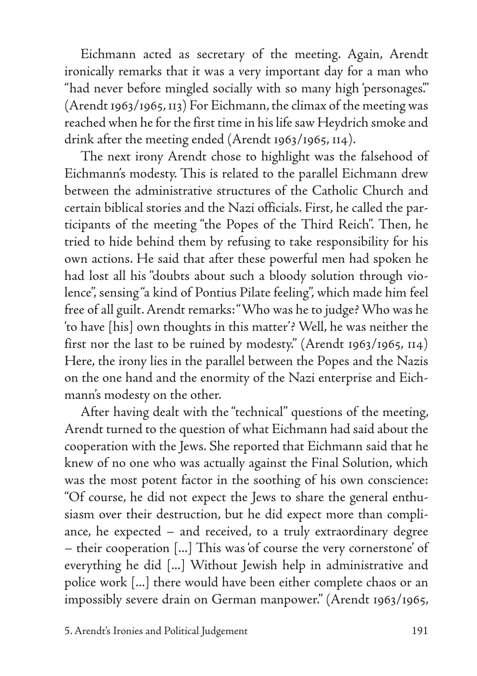Eichmann acted as secretary of the meeting. Again, Arendt ironically remarks that it was a very important day for a man who "had never before mingled socially with so many high 'personages'." (Arendt 1963/1965, 113) For Eichmann, the climax of the meeting was reached when he for the first time in his life saw Heydrich smoke and drink after the meeting ended (Arendt 1963/1965, 114).

The next irony Arendt chose to highlight was the falsehood of Eichmann's modesty. This is related to the parallel Eichmann drew between the administrative structures of the Catholic Church and certain biblical stories and the Nazi officials. First, he called the participants of the meeting "the Popes of the Third Reich". Then, he tried to hide behind them by refusing to take responsibility for his own actions. He said that after these powerful men had spoken he had lost all his "doubts about such a bloody solution through violence", sensing "a kind of Pontius Pilate feeling", which made him feel free of all guilt. Arendt remarks: "Who was he to judge? Who was he 'to have [his] own thoughts in this matter'? Well, he was neither the first nor the last to be ruined by modesty." (Arendt 1963/1965, 114) Here, the irony lies in the parallel between the Popes and the Nazis on the one hand and the enormity of the Nazi enterprise and Eichmann's modesty on the other.

After having dealt with the "technical" questions of the meeting, Arendt turned to the question of what Eichmann had said about the cooperation with the Jews. She reported that Eichmann said that he knew of no one who was actually against the Final Solution, which was the most potent factor in the soothing of his own conscience: "Of course, he did not expect the Jews to share the general enthusiasm over their destruction, but he did expect more than compliance, he expected – and received, to a truly extraordinary degree – their cooperation [...] This was 'of course the very cornerstone' of everything he did [...] Without Jewish help in administrative and police work [...] there would have been either complete chaos or an impossibly severe drain on German manpower." (Arendt 1963/1965,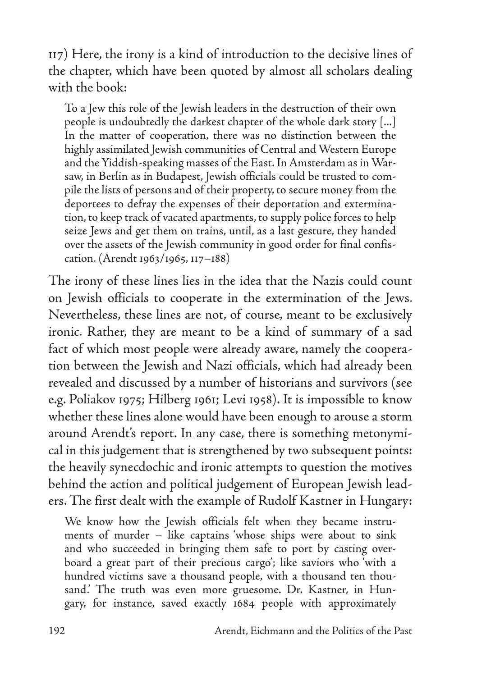117) Here, the irony is a kind of introduction to the decisive lines of the chapter, which have been quoted by almost all scholars dealing with the book:

To a Jew this role of the Jewish leaders in the destruction of their own people is undoubtedly the darkest chapter of the whole dark story [...] In the matter of cooperation, there was no distinction between the highly assimilated Jewish communities of Central and Western Europe and the Yiddish-speaking masses of the East. In Amsterdam as in Warsaw, in Berlin as in Budapest, Jewish officials could be trusted to compile the lists of persons and of their property, to secure money from the deportees to defray the expenses of their deportation and extermination, to keep track of vacated apartments, to supply police forces to help seize Jews and get them on trains, until, as a last gesture, they handed over the assets of the Jewish community in good order for final confiscation. (Arendt 1963/1965, 117–188)

The irony of these lines lies in the idea that the Nazis could count on Jewish officials to cooperate in the extermination of the Jews. Nevertheless, these lines are not, of course, meant to be exclusively ironic. Rather, they are meant to be a kind of summary of a sad fact of which most people were already aware, namely the cooperation between the Jewish and Nazi officials, which had already been revealed and discussed by a number of historians and survivors (see e.g. Poliakov 1975; Hilberg 1961; Levi 1958). It is impossible to know whether these lines alone would have been enough to arouse a storm around Arendt's report. In any case, there is something metonymical in this judgement that is strengthened by two subsequent points: the heavily synecdochic and ironic attempts to question the motives behind the action and political judgement of European Jewish leaders. The first dealt with the example of Rudolf Kastner in Hungary:

We know how the Jewish officials felt when they became instruments of murder – like captains 'whose ships were about to sink and who succeeded in bringing them safe to port by casting overboard a great part of their precious cargo'; like saviors who 'with a hundred victims save a thousand people, with a thousand ten thousand.' The truth was even more gruesome. Dr. Kastner, in Hungary, for instance, saved exactly 1684 people with approximately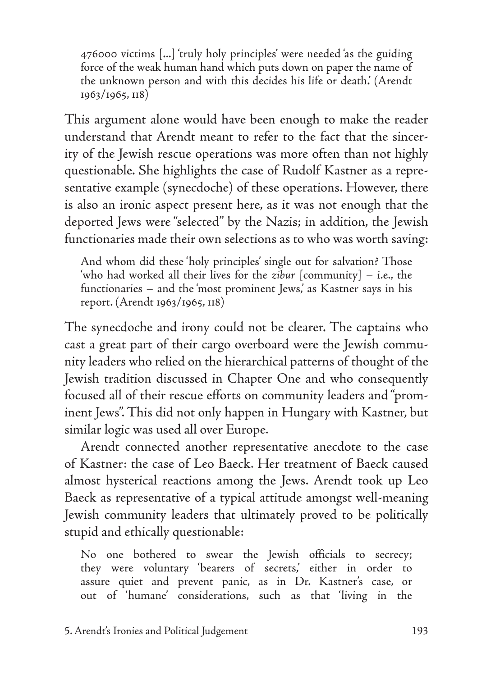476000 victims [...] 'truly holy principles' were needed 'as the guiding force of the weak human hand which puts down on paper the name of the unknown person and with this decides his life or death.' (Arendt 1963/1965, 118)

This argument alone would have been enough to make the reader understand that Arendt meant to refer to the fact that the sincerity of the Jewish rescue operations was more often than not highly questionable. She highlights the case of Rudolf Kastner as a representative example (synecdoche) of these operations. However, there is also an ironic aspect present here, as it was not enough that the deported Jews were "selected" by the Nazis; in addition, the Jewish functionaries made their own selections as to who was worth saving:

And whom did these 'holy principles' single out for salvation? Those 'who had worked all their lives for the *zibur* [community] – i.e., the functionaries – and the 'most prominent Jews,' as Kastner says in his report. (Arendt 1963/1965, 118)

The synecdoche and irony could not be clearer. The captains who cast a great part of their cargo overboard were the Jewish community leaders who relied on the hierarchical patterns of thought of the Jewish tradition discussed in Chapter One and who consequently focused all of their rescue efforts on community leaders and "prominent Jews". This did not only happen in Hungary with Kastner, but similar logic was used all over Europe.

Arendt connected another representative anecdote to the case of Kastner: the case of Leo Baeck. Her treatment of Baeck caused almost hysterical reactions among the Jews. Arendt took up Leo Baeck as representative of a typical attitude amongst well-meaning Jewish community leaders that ultimately proved to be politically stupid and ethically questionable:

No one bothered to swear the Jewish officials to secrecy; they were voluntary 'bearers of secrets,' either in order to assure quiet and prevent panic, as in Dr. Kastner's case, or out of 'humane' considerations, such as that 'living in the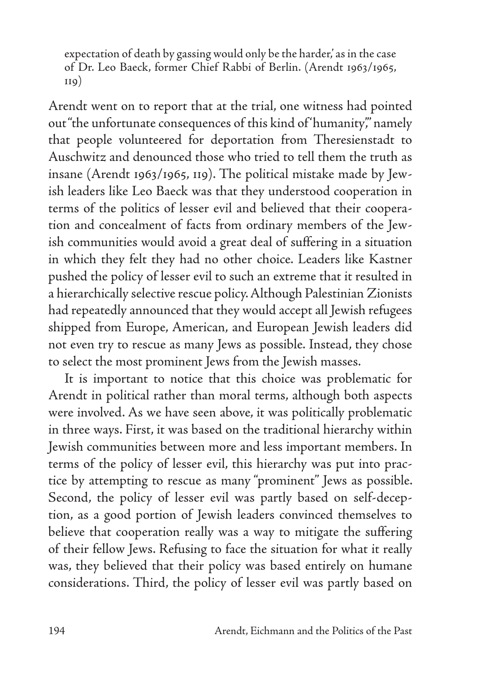expectation of death by gassing would only be the harder,' as in the case of Dr. Leo Baeck, former Chief Rabbi of Berlin. (Arendt 1963/1965,  $110)$ 

Arendt went on to report that at the trial, one witness had pointed out "the unfortunate consequences of this kind of 'humanity'," namely that people volunteered for deportation from Theresienstadt to Auschwitz and denounced those who tried to tell them the truth as insane (Arendt 1963/1965, 119). The political mistake made by Jewish leaders like Leo Baeck was that they understood cooperation in terms of the politics of lesser evil and believed that their cooperation and concealment of facts from ordinary members of the Jewish communities would avoid a great deal of suffering in a situation in which they felt they had no other choice. Leaders like Kastner pushed the policy of lesser evil to such an extreme that it resulted in a hierarchically selective rescue policy. Although Palestinian Zionists had repeatedly announced that they would accept all Jewish refugees shipped from Europe, American, and European Jewish leaders did not even try to rescue as many Jews as possible. Instead, they chose to select the most prominent Jews from the Jewish masses.

It is important to notice that this choice was problematic for Arendt in political rather than moral terms, although both aspects were involved. As we have seen above, it was politically problematic in three ways. First, it was based on the traditional hierarchy within Jewish communities between more and less important members. In terms of the policy of lesser evil, this hierarchy was put into practice by attempting to rescue as many "prominent" Jews as possible. Second, the policy of lesser evil was partly based on self-deception, as a good portion of Jewish leaders convinced themselves to believe that cooperation really was a way to mitigate the suffering of their fellow Jews. Refusing to face the situation for what it really was, they believed that their policy was based entirely on humane considerations. Third, the policy of lesser evil was partly based on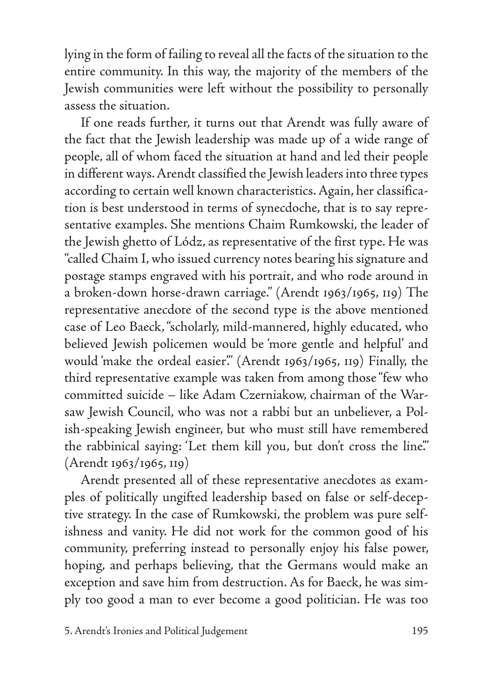lying in the form of failing to reveal all the facts of the situation to the entire community. In this way, the majority of the members of the Jewish communities were left without the possibility to personally assess the situation.

If one reads further, it turns out that Arendt was fully aware of the fact that the Jewish leadership was made up of a wide range of people, all of whom faced the situation at hand and led their people in different ways. Arendt classified the Jewish leaders into three types according to certain well known characteristics. Again, her classification is best understood in terms of synecdoche, that is to say representative examples. She mentions Chaim Rumkowski, the leader of the Jewish ghetto of Lódz, as representative of the first type. He was "called Chaim I, who issued currency notes bearing his signature and postage stamps engraved with his portrait, and who rode around in a broken-down horse-drawn carriage." (Arendt 1963/1965, 119) The representative anecdote of the second type is the above mentioned case of Leo Baeck, "scholarly, mild-mannered, highly educated, who believed Jewish policemen would be 'more gentle and helpful' and would 'make the ordeal easier'." (Arendt 1963/1965, 119) Finally, the third representative example was taken from among those "few who committed suicide – like Adam Czerniakow, chairman of the Warsaw Jewish Council, who was not a rabbi but an unbeliever, a Polish-speaking Jewish engineer, but who must still have remembered the rabbinical saying: 'Let them kill you, but don't cross the line'." (Arendt 1963/1965, 119)

Arendt presented all of these representative anecdotes as examples of politically ungifted leadership based on false or self-deceptive strategy. In the case of Rumkowski, the problem was pure selfishness and vanity. He did not work for the common good of his community, preferring instead to personally enjoy his false power, hoping, and perhaps believing, that the Germans would make an exception and save him from destruction. As for Baeck, he was simply too good a man to ever become a good politician. He was too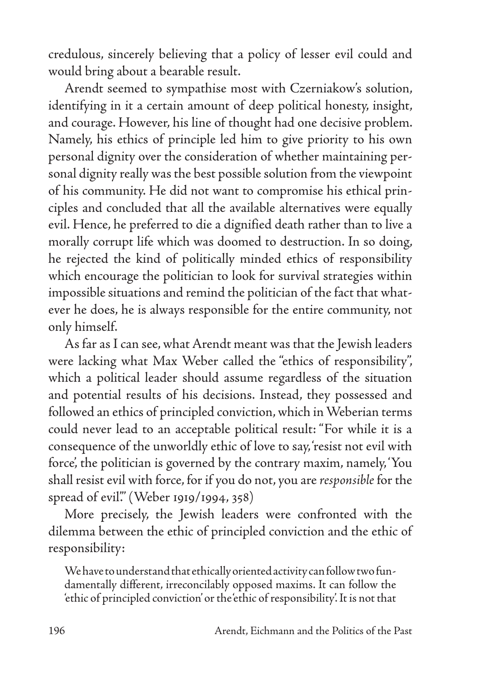credulous, sincerely believing that a policy of lesser evil could and would bring about a bearable result.

Arendt seemed to sympathise most with Czerniakow's solution, identifying in it a certain amount of deep political honesty, insight, and courage. However, his line of thought had one decisive problem. Namely, his ethics of principle led him to give priority to his own personal dignity over the consideration of whether maintaining personal dignity really was the best possible solution from the viewpoint of his community. He did not want to compromise his ethical principles and concluded that all the available alternatives were equally evil. Hence, he preferred to die a dignified death rather than to live a morally corrupt life which was doomed to destruction. In so doing, he rejected the kind of politically minded ethics of responsibility which encourage the politician to look for survival strategies within impossible situations and remind the politician of the fact that whatever he does, he is always responsible for the entire community, not only himself.

As far as I can see, what Arendt meant was that the Jewish leaders were lacking what Max Weber called the "ethics of responsibility", which a political leader should assume regardless of the situation and potential results of his decisions. Instead, they possessed and followed an ethics of principled conviction, which in Weberian terms could never lead to an acceptable political result: "For while it is a consequence of the unworldly ethic of love to say, 'resist not evil with force', the politician is governed by the contrary maxim, namely, 'You shall resist evil with force, for if you do not, you are *responsible* for the spread of evil." (Weber 1919/1994, 358)

More precisely, the Jewish leaders were confronted with the dilemma between the ethic of principled conviction and the ethic of responsibility:

We have to understand that ethically oriented activity can follow two fundamentally different, irreconcilably opposed maxims. It can follow the 'ethic of principled conviction' or the 'ethic of responsibility'. It is not that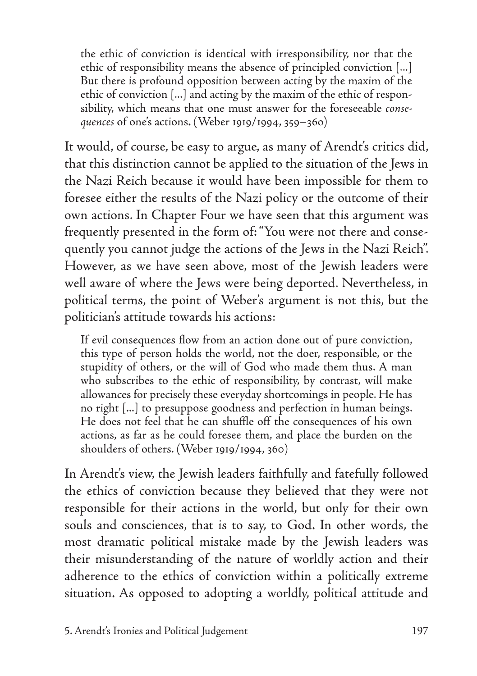the ethic of conviction is identical with irresponsibility, nor that the ethic of responsibility means the absence of principled conviction [...] But there is profound opposition between acting by the maxim of the ethic of conviction [...] and acting by the maxim of the ethic of responsibility, which means that one must answer for the foreseeable *consequences* of one's actions. (Weber 1919/1994, 359–36o)

It would, of course, be easy to argue, as many of Arendt's critics did, that this distinction cannot be applied to the situation of the Jews in the Nazi Reich because it would have been impossible for them to foresee either the results of the Nazi policy or the outcome of their own actions. In Chapter Four we have seen that this argument was frequently presented in the form of: "You were not there and consequently you cannot judge the actions of the Jews in the Nazi Reich". However, as we have seen above, most of the Jewish leaders were well aware of where the Jews were being deported. Nevertheless, in political terms, the point of Weber's argument is not this, but the politician's attitude towards his actions:

If evil consequences flow from an action done out of pure conviction, this type of person holds the world, not the doer, responsible, or the stupidity of others, or the will of God who made them thus. A man who subscribes to the ethic of responsibility, by contrast, will make allowances for precisely these everyday shortcomings in people. He has no right [...] to presuppose goodness and perfection in human beings. He does not feel that he can shuffle off the consequences of his own actions, as far as he could foresee them, and place the burden on the shoulders of others. (Weber 1919/1994, 360)

In Arendt's view, the Jewish leaders faithfully and fatefully followed the ethics of conviction because they believed that they were not responsible for their actions in the world, but only for their own souls and consciences, that is to say, to God. In other words, the most dramatic political mistake made by the Jewish leaders was their misunderstanding of the nature of worldly action and their adherence to the ethics of conviction within a politically extreme situation. As opposed to adopting a worldly, political attitude and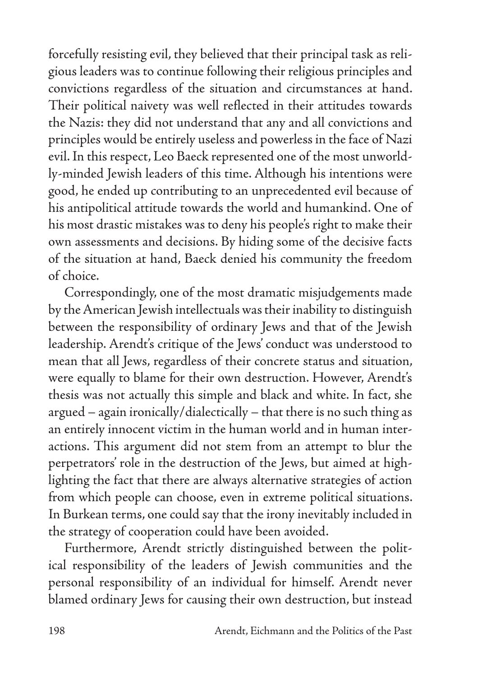forcefully resisting evil, they believed that their principal task as religious leaders was to continue following their religious principles and convictions regardless of the situation and circumstances at hand. Their political naivety was well reflected in their attitudes towards the Nazis: they did not understand that any and all convictions and principles would be entirely useless and powerless in the face of Nazi evil. In this respect, Leo Baeck represented one of the most unworldly-minded Jewish leaders of this time. Although his intentions were good, he ended up contributing to an unprecedented evil because of his antipolitical attitude towards the world and humankind. One of his most drastic mistakes was to deny his people's right to make their own assessments and decisions. By hiding some of the decisive facts of the situation at hand, Baeck denied his community the freedom of choice.

Correspondingly, one of the most dramatic misjudgements made by the American Jewish intellectuals was their inability to distinguish between the responsibility of ordinary Jews and that of the Jewish leadership. Arendt's critique of the Jews' conduct was understood to mean that all Jews, regardless of their concrete status and situation, were equally to blame for their own destruction. However, Arendt's thesis was not actually this simple and black and white. In fact, she argued – again ironically/dialectically – that there is no such thing as an entirely innocent victim in the human world and in human interactions. This argument did not stem from an attempt to blur the perpetrators' role in the destruction of the Jews, but aimed at highlighting the fact that there are always alternative strategies of action from which people can choose, even in extreme political situations. In Burkean terms, one could say that the irony inevitably included in the strategy of cooperation could have been avoided.

Furthermore, Arendt strictly distinguished between the political responsibility of the leaders of Jewish communities and the personal responsibility of an individual for himself. Arendt never blamed ordinary Jews for causing their own destruction, but instead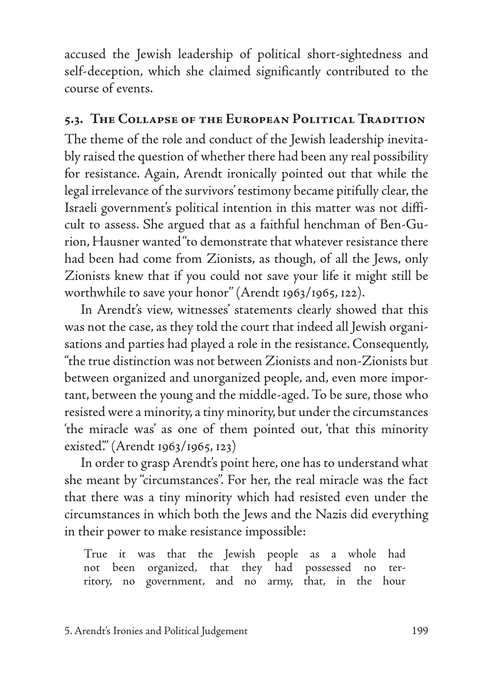accused the Jewish leadership of political short-sightedness and self-deception, which she claimed significantly contributed to the course of events.

## **5.3. The Collapse of the European Political Tradition**

The theme of the role and conduct of the Jewish leadership inevitably raised the question of whether there had been any real possibility for resistance. Again, Arendt ironically pointed out that while the legal irrelevance of the survivors' testimony became pitifully clear, the Israeli government's political intention in this matter was not difficult to assess. She argued that as a faithful henchman of Ben-Gurion, Hausner wanted "to demonstrate that whatever resistance there had been had come from Zionists, as though, of all the Jews, only Zionists knew that if you could not save your life it might still be worthwhile to save your honor'' (Arendt 1963/1965, 122).

In Arendt's view, witnesses' statements clearly showed that this was not the case, as they told the court that indeed all Jewish organisations and parties had played a role in the resistance. Consequently, "the true distinction was not between Zionists and non-Zionists but between organized and unorganized people, and, even more important, between the young and the middle-aged. To be sure, those who resisted were a minority, a tiny minority, but under the circumstances 'the miracle was' as one of them pointed out, 'that this minority existed'." (Arendt 1963/1965, 123)

In order to grasp Arendt's point here, one has to understand what she meant by "circumstances". For her, the real miracle was the fact that there was a tiny minority which had resisted even under the circumstances in which both the Jews and the Nazis did everything in their power to make resistance impossible:

True it was that the Jewish people as a whole had not been organized, that they had possessed no territory, no government, and no army, that, in the hour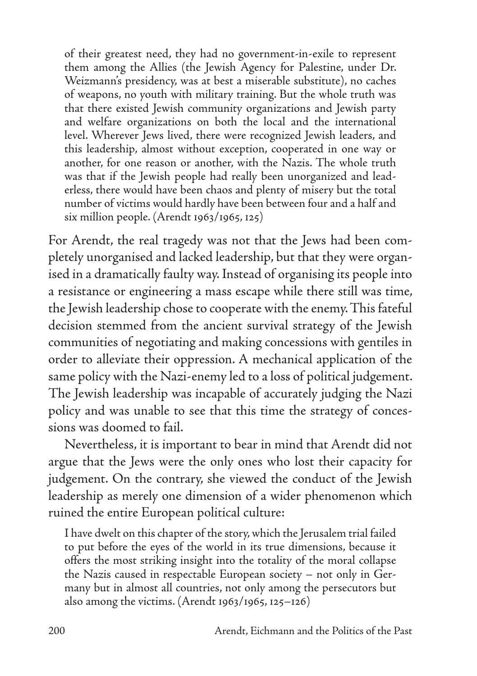of their greatest need, they had no government-in-exile to represent them among the Allies (the Jewish Agency for Palestine, under Dr. Weizmann's presidency, was at best a miserable substitute), no caches of weapons, no youth with military training. But the whole truth was that there existed Jewish community organizations and Jewish party and welfare organizations on both the local and the international level. Wherever Jews lived, there were recognized Jewish leaders, and this leadership, almost without exception, cooperated in one way or another, for one reason or another, with the Nazis. The whole truth was that if the Jewish people had really been unorganized and leaderless, there would have been chaos and plenty of misery but the total number of victims would hardly have been between four and a half and six million people. (Arendt 1963/1965, 125)

For Arendt, the real tragedy was not that the Jews had been completely unorganised and lacked leadership, but that they were organised in a dramatically faulty way. Instead of organising its people into a resistance or engineering a mass escape while there still was time, the Jewish leadership chose to cooperate with the enemy. This fateful decision stemmed from the ancient survival strategy of the Jewish communities of negotiating and making concessions with gentiles in order to alleviate their oppression. A mechanical application of the same policy with the Nazi-enemy led to a loss of political judgement. The Jewish leadership was incapable of accurately judging the Nazi policy and was unable to see that this time the strategy of concessions was doomed to fail.

Nevertheless, it is important to bear in mind that Arendt did not argue that the Jews were the only ones who lost their capacity for judgement. On the contrary, she viewed the conduct of the Jewish leadership as merely one dimension of a wider phenomenon which ruined the entire European political culture:

I have dwelt on this chapter of the story, which the Jerusalem trial failed to put before the eyes of the world in its true dimensions, because it offers the most striking insight into the totality of the moral collapse the Nazis caused in respectable European society – not only in Germany but in almost all countries, not only among the persecutors but also among the victims. (Arendt 1963/1965, 125–126)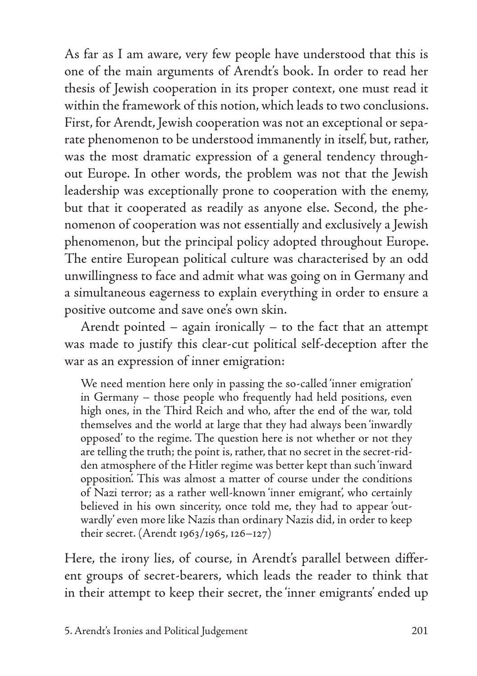As far as I am aware, very few people have understood that this is one of the main arguments of Arendt's book. In order to read her thesis of Jewish cooperation in its proper context, one must read it within the framework of this notion, which leads to two conclusions. First, for Arendt, Jewish cooperation was not an exceptional or separate phenomenon to be understood immanently in itself, but, rather, was the most dramatic expression of a general tendency throughout Europe. In other words, the problem was not that the Jewish leadership was exceptionally prone to cooperation with the enemy, but that it cooperated as readily as anyone else. Second, the phenomenon of cooperation was not essentially and exclusively a Jewish phenomenon, but the principal policy adopted throughout Europe. The entire European political culture was characterised by an odd unwillingness to face and admit what was going on in Germany and a simultaneous eagerness to explain everything in order to ensure a positive outcome and save one's own skin.

Arendt pointed – again ironically – to the fact that an attempt was made to justify this clear-cut political self-deception after the war as an expression of inner emigration:

We need mention here only in passing the so-called 'inner emigration' in Germany – those people who frequently had held positions, even high ones, in the Third Reich and who, after the end of the war, told themselves and the world at large that they had always been 'inwardly opposed' to the regime. The question here is not whether or not they are telling the truth; the point is, rather, that no secret in the secret-ridden atmosphere of the Hitler regime was better kept than such 'inward opposition'. This was almost a matter of course under the conditions of Nazi terror; as a rather well-known 'inner emigrant', who certainly believed in his own sincerity, once told me, they had to appear 'outwardly' even more like Nazis than ordinary Nazis did, in order to keep their secret. (Arendt 1963/1965, 126–127)

Here, the irony lies, of course, in Arendt's parallel between different groups of secret-bearers, which leads the reader to think that in their attempt to keep their secret, the 'inner emigrants' ended up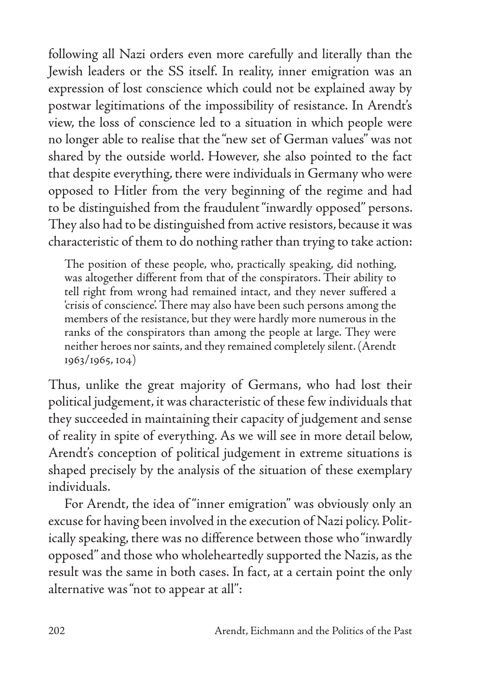following all Nazi orders even more carefully and literally than the Jewish leaders or the SS itself. In reality, inner emigration was an expression of lost conscience which could not be explained away by postwar legitimations of the impossibility of resistance. In Arendt's view, the loss of conscience led to a situation in which people were no longer able to realise that the "new set of German values'' was not shared by the outside world. However, she also pointed to the fact that despite everything, there were individuals in Germany who were opposed to Hitler from the very beginning of the regime and had to be distinguished from the fraudulent "inwardly opposed'' persons. They also had to be distinguished from active resistors, because it was characteristic of them to do nothing rather than trying to take action:

The position of these people, who, practically speaking, did nothing, was altogether different from that of the conspirators. Their ability to tell right from wrong had remained intact, and they never suffered a 'crisis of conscience'. There may also have been such persons among the members of the resistance, but they were hardly more numerous in the ranks of the conspirators than among the people at large. They were neither heroes nor saints, and they remained completely silent. (Arendt 1963/1965, 104)

Thus, unlike the great majority of Germans, who had lost their political judgement, it was characteristic of these few individuals that they succeeded in maintaining their capacity of judgement and sense of reality in spite of everything. As we will see in more detail below, Arendt's conception of political judgement in extreme situations is shaped precisely by the analysis of the situation of these exemplary individuals.

For Arendt, the idea of "inner emigration" was obviously only an excuse for having been involved in the execution of Nazi policy. Politically speaking, there was no difference between those who "inwardly opposed" and those who wholeheartedly supported the Nazis, as the result was the same in both cases. In fact, at a certain point the only alternative was "not to appear at all":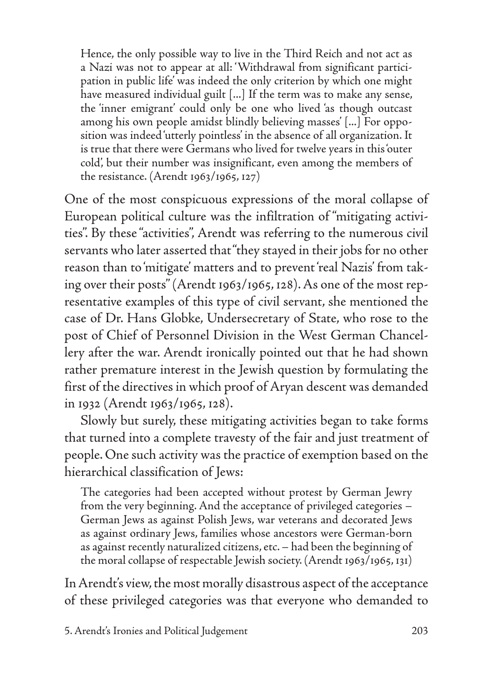Hence, the only possible way to live in the Third Reich and not act as a Nazi was not to appear at all: 'Withdrawal from significant participation in public life' was indeed the only criterion by which one might have measured individual guilt [...] If the term was to make any sense, the 'inner emigrant' could only be one who lived 'as though outcast among his own people amidst blindly believing masses' [...] For opposition was indeed 'utterly pointless' in the absence of all organization. It is true that there were Germans who lived for twelve years in this 'outer cold', but their number was insignificant, even among the members of the resistance. (Arendt 1963/1965, 127)

One of the most conspicuous expressions of the moral collapse of European political culture was the infiltration of "mitigating activities". By these "activities", Arendt was referring to the numerous civil servants who later asserted that "they stayed in their jobs for no other reason than to 'mitigate' matters and to prevent 'real Nazis' from taking over their posts" (Arendt 1963/1965, 128). As one of the most representative examples of this type of civil servant, she mentioned the case of Dr. Hans Globke, Undersecretary of State, who rose to the post of Chief of Personnel Division in the West German Chancellery after the war. Arendt ironically pointed out that he had shown rather premature interest in the Jewish question by formulating the first of the directives in which proof of Aryan descent was demanded in 1932 (Arendt 1963/1965, 128).

Slowly but surely, these mitigating activities began to take forms that turned into a complete travesty of the fair and just treatment of people. One such activity was the practice of exemption based on the hierarchical classification of Jews:

The categories had been accepted without protest by German Jewry from the very beginning. And the acceptance of privileged categories – German Jews as against Polish Jews, war veterans and decorated Jews as against ordinary Jews, families whose ancestors were German-born as against recently naturalized citizens, etc. – had been the beginning of the moral collapse of respectable Jewish society. (Arendt 1963/1965, 131)

In Arendt's view, the most morally disastrous aspect of the acceptance of these privileged categories was that everyone who demanded to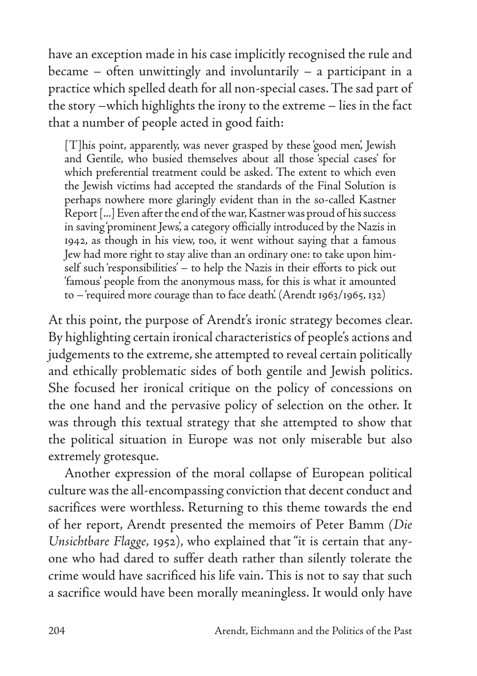have an exception made in his case implicitly recognised the rule and became – often unwittingly and involuntarily – a participant in a practice which spelled death for all non-special cases. The sad part of the story –which highlights the irony to the extreme – lies in the fact that a number of people acted in good faith:

[T]his point, apparently, was never grasped by these 'good men', Jewish and Gentile, who busied themselves about all those 'special cases' for which preferential treatment could be asked. The extent to which even the Jewish victims had accepted the standards of the Final Solution is perhaps nowhere more glaringly evident than in the so-called Kastner Report [...] Even after the end of the war, Kastner was proud of his success in saving 'prominent Jews', a category officially introduced by the Nazis in 1942, as though in his view, too, it went without saying that a famous Jew had more right to stay alive than an ordinary one: to take upon himself such 'responsibilities' – to help the Nazis in their efforts to pick out 'famous' people from the anonymous mass, for this is what it amounted to – 'required more courage than to face death'. (Arendt 1963/1965, 132)

At this point, the purpose of Arendt's ironic strategy becomes clear. By highlighting certain ironical characteristics of people's actions and judgements to the extreme, she attempted to reveal certain politically and ethically problematic sides of both gentile and Jewish politics. She focused her ironical critique on the policy of concessions on the one hand and the pervasive policy of selection on the other. It was through this textual strategy that she attempted to show that the political situation in Europe was not only miserable but also extremely grotesque.

Another expression of the moral collapse of European political culture was the all-encompassing conviction that decent conduct and sacrifices were worthless. Returning to this theme towards the end of her report, Arendt presented the memoirs of Peter Bamm *(Die Unsichtbare Flagge,* 1952), who explained that "it is certain that anyone who had dared to suffer death rather than silently tolerate the crime would have sacrificed his life vain. This is not to say that such a sacrifice would have been morally meaningless. It would only have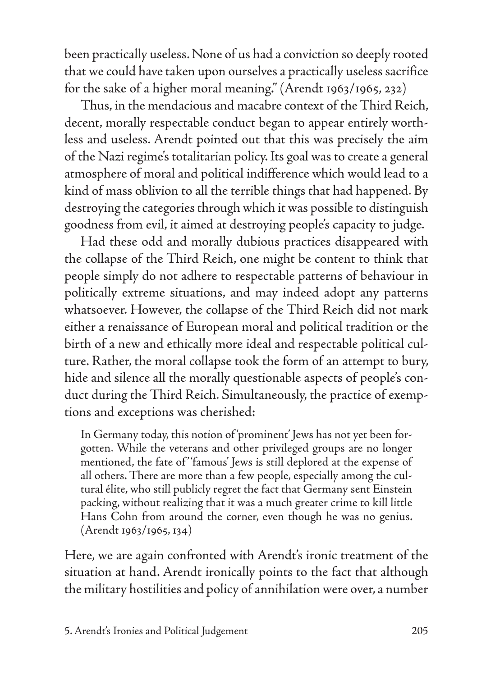been practically useless. None of us had a conviction so deeply rooted that we could have taken upon ourselves a practically useless sacrifice for the sake of a higher moral meaning." (Arendt 1963/1965, 232)

Thus, in the mendacious and macabre context of the Third Reich, decent, morally respectable conduct began to appear entirely worthless and useless. Arendt pointed out that this was precisely the aim of the Nazi regime's totalitarian policy. Its goal was to create a general atmosphere of moral and political indifference which would lead to a kind of mass oblivion to all the terrible things that had happened. By destroying the categories through which it was possible to distinguish goodness from evil, it aimed at destroying people's capacity to judge.

Had these odd and morally dubious practices disappeared with the collapse of the Third Reich, one might be content to think that people simply do not adhere to respectable patterns of behaviour in politically extreme situations, and may indeed adopt any patterns whatsoever. However, the collapse of the Third Reich did not mark either a renaissance of European moral and political tradition or the birth of a new and ethically more ideal and respectable political culture. Rather, the moral collapse took the form of an attempt to bury, hide and silence all the morally questionable aspects of people's conduct during the Third Reich. Simultaneously, the practice of exemptions and exceptions was cherished:

In Germany today, this notion of 'prominent' Jews has not yet been forgotten. While the veterans and other privileged groups are no longer mentioned, the fate of 'famous' Jews is still deplored at the expense of all others. There are more than a few people, especially among the cultural élite, who still publicly regret the fact that Germany sent Einstein packing, without realizing that it was a much greater crime to kill little Hans Cohn from around the corner, even though he was no genius. (Arendt 1963/1965, 134)

Here, we are again confronted with Arendt's ironic treatment of the situation at hand. Arendt ironically points to the fact that although the military hostilities and policy of annihilation were over, a number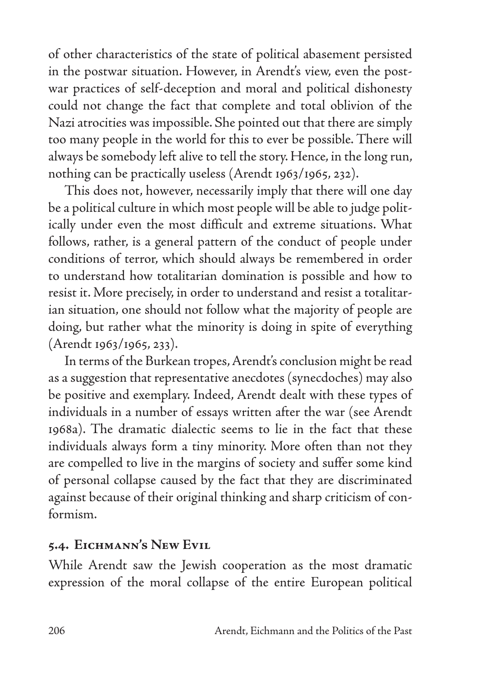of other characteristics of the state of political abasement persisted in the postwar situation. However, in Arendt's view, even the postwar practices of self-deception and moral and political dishonesty could not change the fact that complete and total oblivion of the Nazi atrocities was impossible. She pointed out that there are simply too many people in the world for this to ever be possible. There will always be somebody left alive to tell the story. Hence, in the long run, nothing can be practically useless (Arendt 1963/1965, 232).

This does not, however, necessarily imply that there will one day be a political culture in which most people will be able to judge politically under even the most difficult and extreme situations. What follows, rather, is a general pattern of the conduct of people under conditions of terror, which should always be remembered in order to understand how totalitarian domination is possible and how to resist it. More precisely, in order to understand and resist a totalitarian situation, one should not follow what the majority of people are doing, but rather what the minority is doing in spite of everything (Arendt 1963/1965, 233).

In terms of the Burkean tropes, Arendt's conclusion might be read as a suggestion that representative anecdotes (synecdoches) may also be positive and exemplary. Indeed, Arendt dealt with these types of individuals in a number of essays written after the war (see Arendt 1968a). The dramatic dialectic seems to lie in the fact that these individuals always form a tiny minority. More often than not they are compelled to live in the margins of society and suffer some kind of personal collapse caused by the fact that they are discriminated against because of their original thinking and sharp criticism of conformism.

## **5.4. Eichmann's New Evil**

While Arendt saw the Jewish cooperation as the most dramatic expression of the moral collapse of the entire European political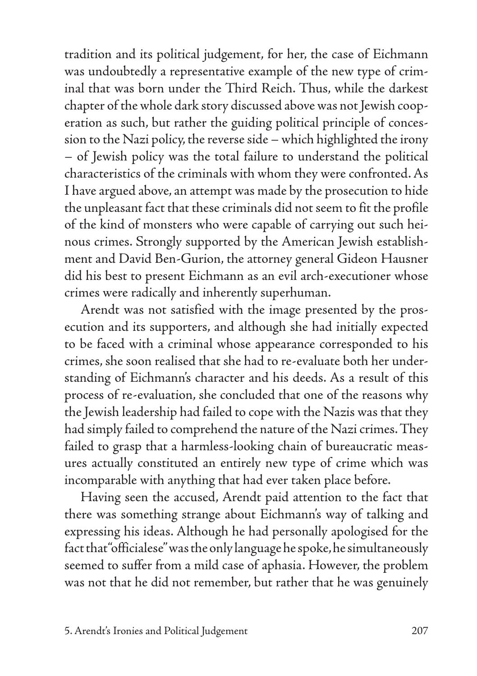tradition and its political judgement, for her, the case of Eichmann was undoubtedly a representative example of the new type of criminal that was born under the Third Reich. Thus, while the darkest chapter of the whole dark story discussed above was not Jewish cooperation as such, but rather the guiding political principle of concession to the Nazi policy, the reverse side – which highlighted the irony – of Jewish policy was the total failure to understand the political characteristics of the criminals with whom they were confronted. As I have argued above, an attempt was made by the prosecution to hide the unpleasant fact that these criminals did not seem to fit the profile of the kind of monsters who were capable of carrying out such heinous crimes. Strongly supported by the American Jewish establishment and David Ben-Gurion, the attorney general Gideon Hausner did his best to present Eichmann as an evil arch-executioner whose crimes were radically and inherently superhuman.

Arendt was not satisfied with the image presented by the prosecution and its supporters, and although she had initially expected to be faced with a criminal whose appearance corresponded to his crimes, she soon realised that she had to re-evaluate both her understanding of Eichmann's character and his deeds. As a result of this process of re-evaluation, she concluded that one of the reasons why the Jewish leadership had failed to cope with the Nazis was that they had simply failed to comprehend the nature of the Nazi crimes. They failed to grasp that a harmless-looking chain of bureaucratic measures actually constituted an entirely new type of crime which was incomparable with anything that had ever taken place before.

Having seen the accused, Arendt paid attention to the fact that there was something strange about Eichmann's way of talking and expressing his ideas. Although he had personally apologised for the fact that "officialese" was the only language he spoke, he simultaneously seemed to suffer from a mild case of aphasia. However, the problem was not that he did not remember, but rather that he was genuinely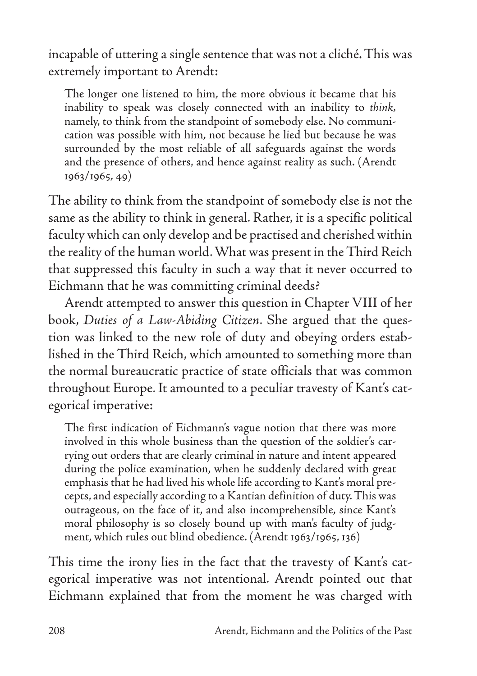incapable of uttering a single sentence that was not a cliché. This was extremely important to Arendt:

The longer one listened to him, the more obvious it became that his inability to speak was closely connected with an inability to *think,* namely, to think from the standpoint of somebody else. No communication was possible with him, not because he lied but because he was surrounded by the most reliable of all safeguards against the words and the presence of others, and hence against reality as such. (Arendt 1963/1965, 49)

The ability to think from the standpoint of somebody else is not the same as the ability to think in general. Rather, it is a specific political faculty which can only develop and be practised and cherished within the reality of the human world. What was present in the Third Reich that suppressed this faculty in such a way that it never occurred to Eichmann that he was committing criminal deeds?

Arendt attempted to answer this question in Chapter VIII of her book, *Duties of a Law-Abiding Citizen*. She argued that the question was linked to the new role of duty and obeying orders established in the Third Reich, which amounted to something more than the normal bureaucratic practice of state officials that was common throughout Europe. It amounted to a peculiar travesty of Kant's categorical imperative:

The first indication of Eichmann's vague notion that there was more involved in this whole business than the question of the soldier's carrying out orders that are clearly criminal in nature and intent appeared during the police examination, when he suddenly declared with great emphasis that he had lived his whole life according to Kant's moral precepts, and especially according to a Kantian definition of duty. This was outrageous, on the face of it, and also incomprehensible, since Kant's moral philosophy is so closely bound up with man's faculty of judgment, which rules out blind obedience. (Arendt 1963/1965, 136)

This time the irony lies in the fact that the travesty of Kant's categorical imperative was not intentional. Arendt pointed out that Eichmann explained that from the moment he was charged with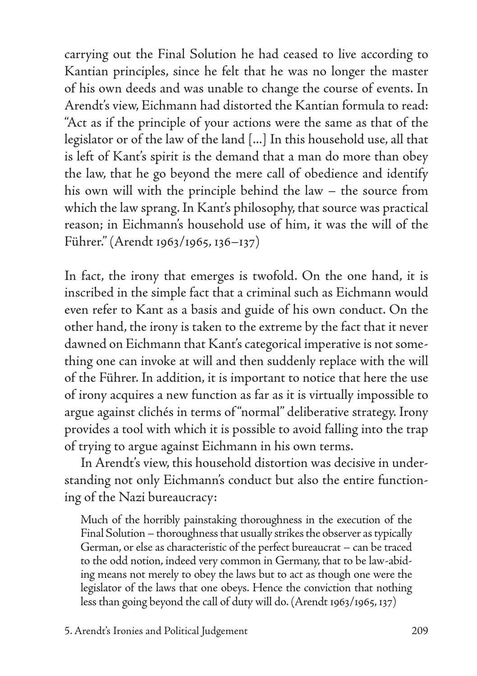carrying out the Final Solution he had ceased to live according to Kantian principles, since he felt that he was no longer the master of his own deeds and was unable to change the course of events. In Arendt's view, Eichmann had distorted the Kantian formula to read: "Act as if the principle of your actions were the same as that of the legislator or of the law of the land [...] In this household use, all that is left of Kant's spirit is the demand that a man do more than obey the law, that he go beyond the mere call of obedience and identify his own will with the principle behind the law – the source from which the law sprang. In Kant's philosophy, that source was practical reason; in Eichmann's household use of him, it was the will of the Führer." (Arendt 1963/1965, 136–137)

In fact, the irony that emerges is twofold. On the one hand, it is inscribed in the simple fact that a criminal such as Eichmann would even refer to Kant as a basis and guide of his own conduct. On the other hand, the irony is taken to the extreme by the fact that it never dawned on Eichmann that Kant's categorical imperative is not something one can invoke at will and then suddenly replace with the will of the Führer. In addition, it is important to notice that here the use of irony acquires a new function as far as it is virtually impossible to argue against clichés in terms of "normal" deliberative strategy. Irony provides a tool with which it is possible to avoid falling into the trap of trying to argue against Eichmann in his own terms.

In Arendt's view, this household distortion was decisive in understanding not only Eichmann's conduct but also the entire functioning of the Nazi bureaucracy:

Much of the horribly painstaking thoroughness in the execution of the Final Solution – thoroughness that usually strikes the observer as typically German, or else as characteristic of the perfect bureaucrat – can be traced to the odd notion, indeed very common in Germany, that to be law-abiding means not merely to obey the laws but to act as though one were the legislator of the laws that one obeys. Hence the conviction that nothing less than going beyond the call of duty will do. (Arendt 1963/1965, 137)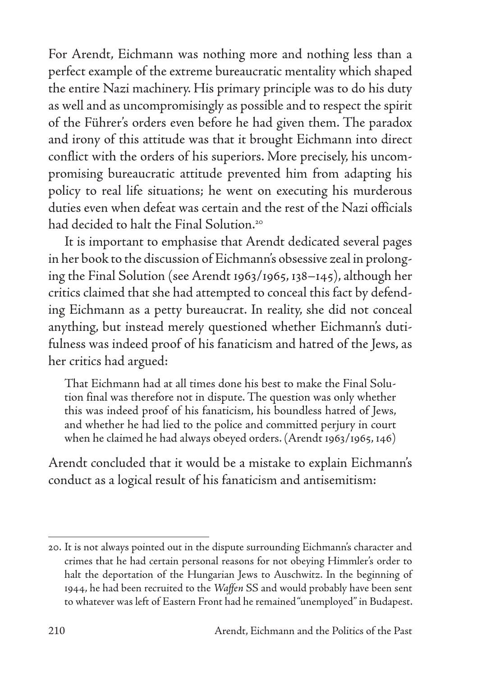For Arendt, Eichmann was nothing more and nothing less than a perfect example of the extreme bureaucratic mentality which shaped the entire Nazi machinery. His primary principle was to do his duty as well and as uncompromisingly as possible and to respect the spirit of the Führer's orders even before he had given them. The paradox and irony of this attitude was that it brought Eichmann into direct conflict with the orders of his superiors. More precisely, his uncompromising bureaucratic attitude prevented him from adapting his policy to real life situations; he went on executing his murderous duties even when defeat was certain and the rest of the Nazi officials had decided to halt the Final Solution.<sup>20</sup>

It is important to emphasise that Arendt dedicated several pages in her book to the discussion of Eichmann's obsessive zeal in prolonging the Final Solution (see Arendt 1963/1965, 138–145), although her critics claimed that she had attempted to conceal this fact by defending Eichmann as a petty bureaucrat. In reality, she did not conceal anything, but instead merely questioned whether Eichmann's dutifulness was indeed proof of his fanaticism and hatred of the Jews, as her critics had argued:

That Eichmann had at all times done his best to make the Final Solution final was therefore not in dispute. The question was only whether this was indeed proof of his fanaticism, his boundless hatred of Jews, and whether he had lied to the police and committed perjury in court when he claimed he had always obeyed orders. (Arendt 1963/1965, 146)

Arendt concluded that it would be a mistake to explain Eichmann's conduct as a logical result of his fanaticism and antisemitism:

<sup>20.</sup> It is not always pointed out in the dispute surrounding Eichmann's character and crimes that he had certain personal reasons for not obeying Himmler's order to halt the deportation of the Hungarian Jews to Auschwitz. In the beginning of 1944, he had been recruited to the *Waffen* SS and would probably have been sent to whatever was left of Eastern Front had he remained "unemployed" in Budapest.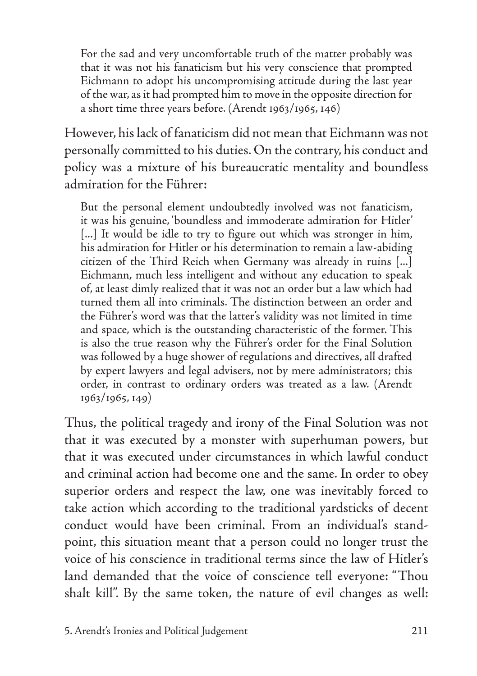For the sad and very uncomfortable truth of the matter probably was that it was not his fanaticism but his very conscience that prompted Eichmann to adopt his uncompromising attitude during the last year of the war, as it had prompted him to move in the opposite direction for a short time three years before. (Arendt 1963/1965, 146)

However, his lack of fanaticism did not mean that Eichmann was not personally committed to his duties. On the contrary, his conduct and policy was a mixture of his bureaucratic mentality and boundless admiration for the Führer:

But the personal element undoubtedly involved was not fanaticism, it was his genuine, 'boundless and immoderate admiration for Hitler' [...] It would be idle to try to figure out which was stronger in him, his admiration for Hitler or his determination to remain a law-abiding citizen of the Third Reich when Germany was already in ruins [...] Eichmann, much less intelligent and without any education to speak of, at least dimly realized that it was not an order but a law which had turned them all into criminals. The distinction between an order and the Führer's word was that the latter's validity was not limited in time and space, which is the outstanding characteristic of the former. This is also the true reason why the Führer's order for the Final Solution was followed by a huge shower of regulations and directives, all drafted by expert lawyers and legal advisers, not by mere administrators; this order, in contrast to ordinary orders was treated as a law. (Arendt 1963/1965, 149)

Thus, the political tragedy and irony of the Final Solution was not that it was executed by a monster with superhuman powers, but that it was executed under circumstances in which lawful conduct and criminal action had become one and the same. In order to obey superior orders and respect the law, one was inevitably forced to take action which according to the traditional yardsticks of decent conduct would have been criminal. From an individual's standpoint, this situation meant that a person could no longer trust the voice of his conscience in traditional terms since the law of Hitler's land demanded that the voice of conscience tell everyone: "Thou shalt kill". By the same token, the nature of evil changes as well: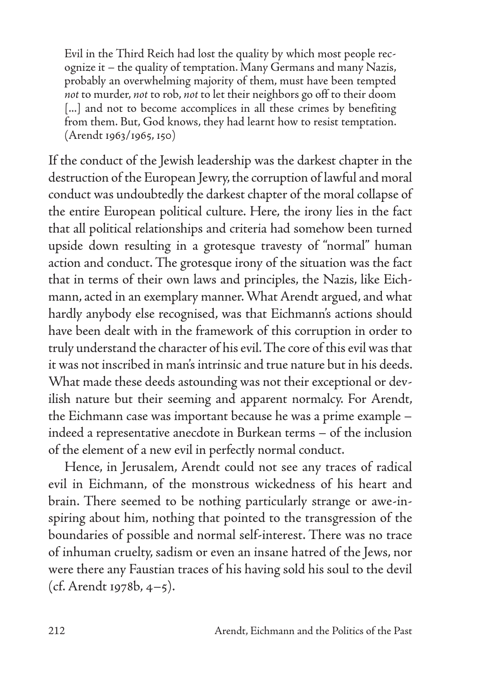Evil in the Third Reich had lost the quality by which most people recognize it – the quality of temptation. Many Germans and many Nazis, probably an overwhelming majority of them, must have been tempted *not* to murder, *not* to rob, *not* to let their neighbors go off to their doom [...] and not to become accomplices in all these crimes by benefiting from them. But, God knows, they had learnt how to resist temptation. (Arendt 1963/1965, 150)

If the conduct of the Jewish leadership was the darkest chapter in the destruction of the European Jewry, the corruption of lawful and moral conduct was undoubtedly the darkest chapter of the moral collapse of the entire European political culture. Here, the irony lies in the fact that all political relationships and criteria had somehow been turned upside down resulting in a grotesque travesty of "normal" human action and conduct. The grotesque irony of the situation was the fact that in terms of their own laws and principles, the Nazis, like Eichmann, acted in an exemplary manner. What Arendt argued, and what hardly anybody else recognised, was that Eichmann's actions should have been dealt with in the framework of this corruption in order to truly understand the character of his evil. The core of this evil was that it was not inscribed in man's intrinsic and true nature but in his deeds. What made these deeds astounding was not their exceptional or devilish nature but their seeming and apparent normalcy. For Arendt, the Eichmann case was important because he was a prime example – indeed a representative anecdote in Burkean terms – of the inclusion of the element of a new evil in perfectly normal conduct.

Hence, in Jerusalem, Arendt could not see any traces of radical evil in Eichmann, of the monstrous wickedness of his heart and brain. There seemed to be nothing particularly strange or awe-inspiring about him, nothing that pointed to the transgression of the boundaries of possible and normal self-interest. There was no trace of inhuman cruelty, sadism or even an insane hatred of the Jews, nor were there any Faustian traces of his having sold his soul to the devil (cf. Arendt 1978b, 4–5).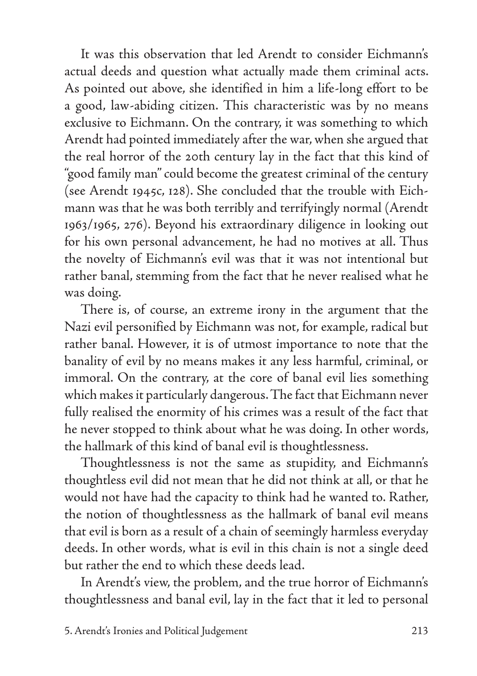It was this observation that led Arendt to consider Eichmann's actual deeds and question what actually made them criminal acts. As pointed out above, she identified in him a life-long effort to be a good, law-abiding citizen. This characteristic was by no means exclusive to Eichmann. On the contrary, it was something to which Arendt had pointed immediately after the war, when she argued that the real horror of the 20th century lay in the fact that this kind of "good family man" could become the greatest criminal of the century (see Arendt 1945c, 128). She concluded that the trouble with Eichmann was that he was both terribly and terrifyingly normal (Arendt 1963/1965, 276). Beyond his extraordinary diligence in looking out for his own personal advancement, he had no motives at all. Thus the novelty of Eichmann's evil was that it was not intentional but rather banal, stemming from the fact that he never realised what he was doing.

There is, of course, an extreme irony in the argument that the Nazi evil personified by Eichmann was not, for example, radical but rather banal. However, it is of utmost importance to note that the banality of evil by no means makes it any less harmful, criminal, or immoral. On the contrary, at the core of banal evil lies something which makes it particularly dangerous. The fact that Eichmann never fully realised the enormity of his crimes was a result of the fact that he never stopped to think about what he was doing. In other words, the hallmark of this kind of banal evil is thoughtlessness.

Thoughtlessness is not the same as stupidity, and Eichmann's thoughtless evil did not mean that he did not think at all, or that he would not have had the capacity to think had he wanted to. Rather, the notion of thoughtlessness as the hallmark of banal evil means that evil is born as a result of a chain of seemingly harmless everyday deeds. In other words, what is evil in this chain is not a single deed but rather the end to which these deeds lead.

In Arendt's view, the problem, and the true horror of Eichmann's thoughtlessness and banal evil, lay in the fact that it led to personal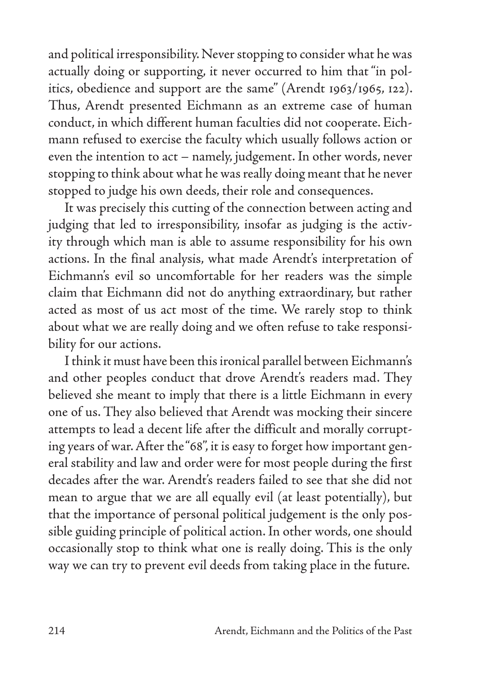and political irresponsibility. Never stopping to consider what he was actually doing or supporting, it never occurred to him that "in politics, obedience and support are the same" (Arendt 1963/1965, 122). Thus, Arendt presented Eichmann as an extreme case of human conduct, in which different human faculties did not cooperate. Eichmann refused to exercise the faculty which usually follows action or even the intention to act – namely, judgement. In other words, never stopping to think about what he was really doing meant that he never stopped to judge his own deeds, their role and consequences.

It was precisely this cutting of the connection between acting and judging that led to irresponsibility, insofar as judging is the activity through which man is able to assume responsibility for his own actions. In the final analysis, what made Arendt's interpretation of Eichmann's evil so uncomfortable for her readers was the simple claim that Eichmann did not do anything extraordinary, but rather acted as most of us act most of the time. We rarely stop to think about what we are really doing and we often refuse to take responsibility for our actions.

I think it must have been this ironical parallel between Eichmann's and other peoples conduct that drove Arendt's readers mad. They believed she meant to imply that there is a little Eichmann in every one of us. They also believed that Arendt was mocking their sincere attempts to lead a decent life after the difficult and morally corrupting years of war. After the "68", it is easy to forget how important general stability and law and order were for most people during the first decades after the war. Arendt's readers failed to see that she did not mean to argue that we are all equally evil (at least potentially), but that the importance of personal political judgement is the only possible guiding principle of political action. In other words, one should occasionally stop to think what one is really doing. This is the only way we can try to prevent evil deeds from taking place in the future.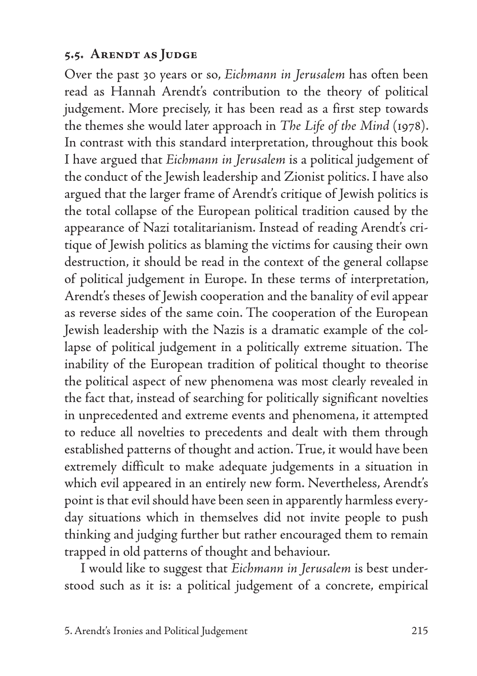#### **5.5. Arendt as Judge**

Over the past 30 years or so, *Eichmann in Jerusalem* has often been read as Hannah Arendt's contribution to the theory of political judgement. More precisely, it has been read as a first step towards the themes she would later approach in *The Life of the Mind* (1978). In contrast with this standard interpretation, throughout this book I have argued that *Eichmann in Jerusalem* is a political judgement of the conduct of the Jewish leadership and Zionist politics. I have also argued that the larger frame of Arendt's critique of Jewish politics is the total collapse of the European political tradition caused by the appearance of Nazi totalitarianism. Instead of reading Arendt's critique of Jewish politics as blaming the victims for causing their own destruction, it should be read in the context of the general collapse of political judgement in Europe. In these terms of interpretation, Arendt's theses of Jewish cooperation and the banality of evil appear as reverse sides of the same coin. The cooperation of the European Jewish leadership with the Nazis is a dramatic example of the collapse of political judgement in a politically extreme situation. The inability of the European tradition of political thought to theorise the political aspect of new phenomena was most clearly revealed in the fact that, instead of searching for politically significant novelties in unprecedented and extreme events and phenomena, it attempted to reduce all novelties to precedents and dealt with them through established patterns of thought and action. True, it would have been extremely difficult to make adequate judgements in a situation in which evil appeared in an entirely new form. Nevertheless, Arendt's point is that evil should have been seen in apparently harmless everyday situations which in themselves did not invite people to push thinking and judging further but rather encouraged them to remain trapped in old patterns of thought and behaviour.

I would like to suggest that *Eichmann in Jerusalem* is best understood such as it is: a political judgement of a concrete, empirical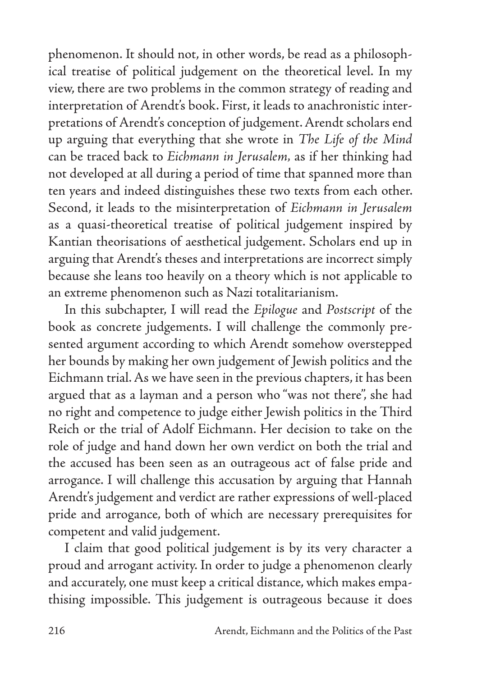phenomenon. It should not, in other words, be read as a philosophical treatise of political judgement on the theoretical level. In my view, there are two problems in the common strategy of reading and interpretation of Arendt's book. First, it leads to anachronistic interpretations of Arendt's conception of judgement. Arendt scholars end up arguing that everything that she wrote in *The Life of the Mind*  can be traced back to *Eichmann in Jerusalem,* as if her thinking had not developed at all during a period of time that spanned more than ten years and indeed distinguishes these two texts from each other. Second, it leads to the misinterpretation of *Eichmann in Jerusalem* as a quasi-theoretical treatise of political judgement inspired by Kantian theorisations of aesthetical judgement. Scholars end up in arguing that Arendt's theses and interpretations are incorrect simply because she leans too heavily on a theory which is not applicable to an extreme phenomenon such as Nazi totalitarianism.

In this subchapter, I will read the *Epilogue* and *Postscript* of the book as concrete judgements. I will challenge the commonly presented argument according to which Arendt somehow overstepped her bounds by making her own judgement of Jewish politics and the Eichmann trial. As we have seen in the previous chapters, it has been argued that as a layman and a person who "was not there", she had no right and competence to judge either Jewish politics in the Third Reich or the trial of Adolf Eichmann. Her decision to take on the role of judge and hand down her own verdict on both the trial and the accused has been seen as an outrageous act of false pride and arrogance. I will challenge this accusation by arguing that Hannah Arendt's judgement and verdict are rather expressions of well-placed pride and arrogance, both of which are necessary prerequisites for competent and valid judgement.

I claim that good political judgement is by its very character a proud and arrogant activity. In order to judge a phenomenon clearly and accurately, one must keep a critical distance, which makes empathising impossible. This judgement is outrageous because it does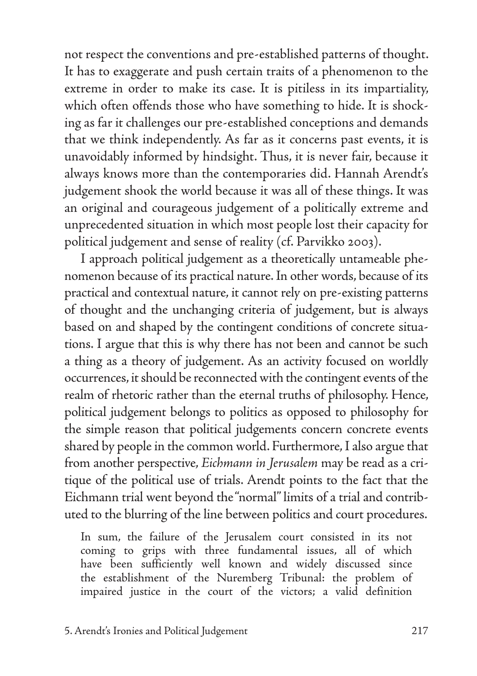not respect the conventions and pre-established patterns of thought. It has to exaggerate and push certain traits of a phenomenon to the extreme in order to make its case. It is pitiless in its impartiality, which often offends those who have something to hide. It is shocking as far it challenges our pre-established conceptions and demands that we think independently. As far as it concerns past events, it is unavoidably informed by hindsight. Thus, it is never fair, because it always knows more than the contemporaries did. Hannah Arendt's judgement shook the world because it was all of these things. It was an original and courageous judgement of a politically extreme and unprecedented situation in which most people lost their capacity for political judgement and sense of reality (cf. Parvikko 2003).

I approach political judgement as a theoretically untameable phenomenon because of its practical nature. In other words, because of its practical and contextual nature, it cannot rely on pre-existing patterns of thought and the unchanging criteria of judgement, but is always based on and shaped by the contingent conditions of concrete situations. I argue that this is why there has not been and cannot be such a thing as a theory of judgement. As an activity focused on worldly occurrences, it should be reconnected with the contingent events of the realm of rhetoric rather than the eternal truths of philosophy. Hence, political judgement belongs to politics as opposed to philosophy for the simple reason that political judgements concern concrete events shared by people in the common world. Furthermore, I also argue that from another perspective, *Eichmann in Jerusalem* may be read as a critique of the political use of trials. Arendt points to the fact that the Eichmann trial went beyond the "normal" limits of a trial and contributed to the blurring of the line between politics and court procedures.

In sum, the failure of the Jerusalem court consisted in its not coming to grips with three fundamental issues, all of which have been sufficiently well known and widely discussed since the establishment of the Nuremberg Tribunal: the problem of impaired justice in the court of the victors; a valid definition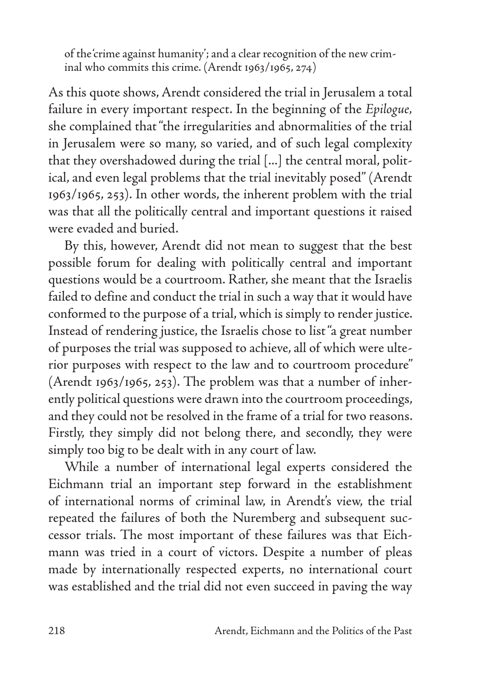of the 'crime against humanity'; and a clear recognition of the new criminal who commits this crime. (Arendt 1963/1965, 274)

As this quote shows, Arendt considered the trial in Jerusalem a total failure in every important respect. In the beginning of the *Epilogue,*  she complained that "the irregularities and abnormalities of the trial in Jerusalem were so many, so varied, and of such legal complexity that they overshadowed during the trial [...] the central moral, political, and even legal problems that the trial inevitably posed" (Arendt 1963/1965, 253). In other words, the inherent problem with the trial was that all the politically central and important questions it raised were evaded and buried.

By this, however, Arendt did not mean to suggest that the best possible forum for dealing with politically central and important questions would be a courtroom. Rather, she meant that the Israelis failed to define and conduct the trial in such a way that it would have conformed to the purpose of a trial, which is simply to render justice. Instead of rendering justice, the Israelis chose to list "a great number of purposes the trial was supposed to achieve, all of which were ulterior purposes with respect to the law and to courtroom procedure" (Arendt 1963/1965, 253). The problem was that a number of inherently political questions were drawn into the courtroom proceedings, and they could not be resolved in the frame of a trial for two reasons. Firstly, they simply did not belong there, and secondly, they were simply too big to be dealt with in any court of law.

While a number of international legal experts considered the Eichmann trial an important step forward in the establishment of international norms of criminal law, in Arendt's view, the trial repeated the failures of both the Nuremberg and subsequent successor trials. The most important of these failures was that Eichmann was tried in a court of victors. Despite a number of pleas made by internationally respected experts, no international court was established and the trial did not even succeed in paving the way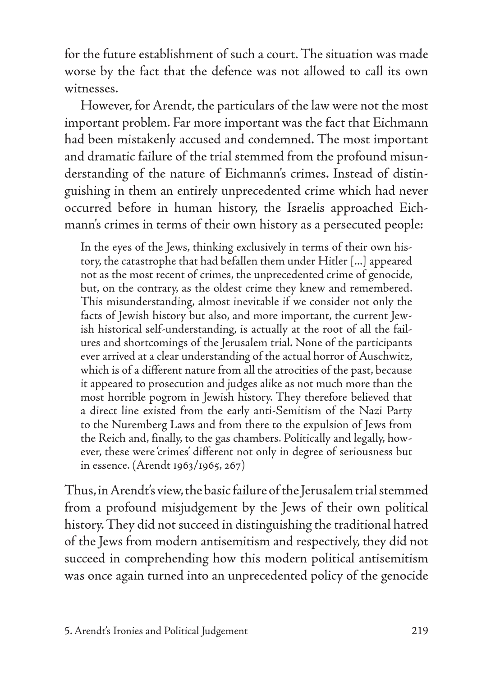for the future establishment of such a court. The situation was made worse by the fact that the defence was not allowed to call its own witnesses.

However, for Arendt, the particulars of the law were not the most important problem. Far more important was the fact that Eichmann had been mistakenly accused and condemned. The most important and dramatic failure of the trial stemmed from the profound misunderstanding of the nature of Eichmann's crimes. Instead of distinguishing in them an entirely unprecedented crime which had never occurred before in human history, the Israelis approached Eichmann's crimes in terms of their own history as a persecuted people:

In the eyes of the Jews, thinking exclusively in terms of their own history, the catastrophe that had befallen them under Hitler [...] appeared not as the most recent of crimes, the unprecedented crime of genocide, but, on the contrary, as the oldest crime they knew and remembered. This misunderstanding, almost inevitable if we consider not only the facts of Jewish history but also, and more important, the current Jewish historical self-understanding, is actually at the root of all the failures and shortcomings of the Jerusalem trial. None of the participants ever arrived at a clear understanding of the actual horror of Auschwitz, which is of a different nature from all the atrocities of the past, because it appeared to prosecution and judges alike as not much more than the most horrible pogrom in Jewish history. They therefore believed that a direct line existed from the early anti-Semitism of the Nazi Party to the Nuremberg Laws and from there to the expulsion of Jews from the Reich and, finally, to the gas chambers. Politically and legally, however, these were 'crimes' different not only in degree of seriousness but in essence. (Arendt 1963/1965, 267)

Thus, in Arendt's view, the basic failure of the Jerusalem trial stemmed from a profound misjudgement by the Jews of their own political history. They did not succeed in distinguishing the traditional hatred of the Jews from modern antisemitism and respectively, they did not succeed in comprehending how this modern political antisemitism was once again turned into an unprecedented policy of the genocide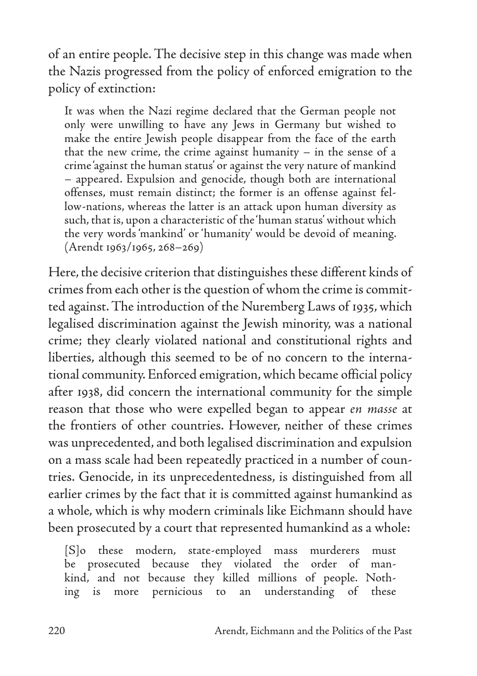of an entire people. The decisive step in this change was made when the Nazis progressed from the policy of enforced emigration to the policy of extinction:

It was when the Nazi regime declared that the German people not only were unwilling to have any Jews in Germany but wished to make the entire Jewish people disappear from the face of the earth that the new crime, the crime against humanity – in the sense of a crime 'against the human status' or against the very nature of mankind – appeared. Expulsion and genocide, though both are international offenses, must remain distinct; the former is an offense against fellow-nations, whereas the latter is an attack upon human diversity as such, that is, upon a characteristic of the 'human status' without which the very words 'mankind' or 'humanity' would be devoid of meaning. (Arendt 1963/1965, 268–269)

Here, the decisive criterion that distinguishes these different kinds of crimes from each other is the question of whom the crime is committed against. The introduction of the Nuremberg Laws of 1935, which legalised discrimination against the Jewish minority, was a national crime; they clearly violated national and constitutional rights and liberties, although this seemed to be of no concern to the international community. Enforced emigration, which became official policy after 1938, did concern the international community for the simple reason that those who were expelled began to appear *en masse* at the frontiers of other countries. However, neither of these crimes was unprecedented, and both legalised discrimination and expulsion on a mass scale had been repeatedly practiced in a number of countries. Genocide, in its unprecedentedness, is distinguished from all earlier crimes by the fact that it is committed against humankind as a whole, which is why modern criminals like Eichmann should have been prosecuted by a court that represented humankind as a whole:

[S]o these modern, state-employed mass murderers must be prosecuted because they violated the order of mankind, and not because they killed millions of people. Nothing is more pernicious to an understanding of these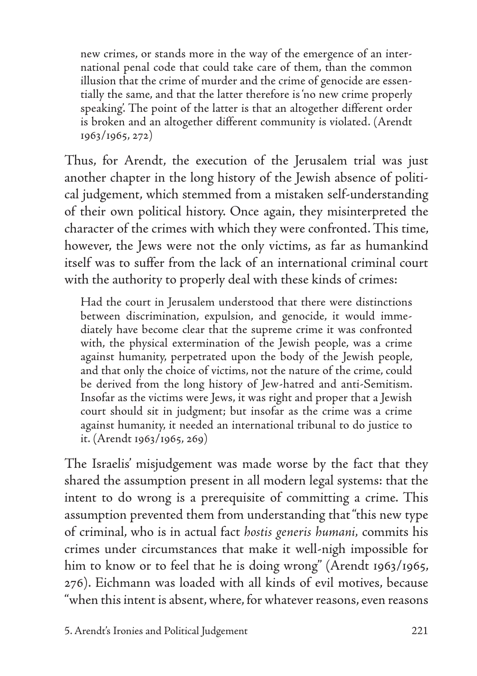new crimes, or stands more in the way of the emergence of an international penal code that could take care of them, than the common illusion that the crime of murder and the crime of genocide are essentially the same, and that the latter therefore is 'no new crime properly speaking'. The point of the latter is that an altogether different order is broken and an altogether different community is violated. (Arendt 1963/1965, 272)

Thus, for Arendt, the execution of the Jerusalem trial was just another chapter in the long history of the Jewish absence of political judgement, which stemmed from a mistaken self-understanding of their own political history. Once again, they misinterpreted the character of the crimes with which they were confronted. This time, however, the Jews were not the only victims, as far as humankind itself was to suffer from the lack of an international criminal court with the authority to properly deal with these kinds of crimes:

Had the court in Jerusalem understood that there were distinctions between discrimination, expulsion, and genocide, it would immediately have become clear that the supreme crime it was confronted with, the physical extermination of the Jewish people, was a crime against humanity, perpetrated upon the body of the Jewish people, and that only the choice of victims, not the nature of the crime, could be derived from the long history of Jew-hatred and anti-Semitism. Insofar as the victims were Jews, it was right and proper that a Jewish court should sit in judgment; but insofar as the crime was a crime against humanity, it needed an international tribunal to do justice to it. (Arendt 1963/1965, 269)

The Israelis' misjudgement was made worse by the fact that they shared the assumption present in all modern legal systems: that the intent to do wrong is a prerequisite of committing a crime. This assumption prevented them from understanding that "this new type of criminal, who is in actual fact *hostis generis humani,* commits his crimes under circumstances that make it well-nigh impossible for him to know or to feel that he is doing wrong" (Arendt 1963/1965, 276). Eichmann was loaded with all kinds of evil motives, because "when this intent is absent, where, for whatever reasons, even reasons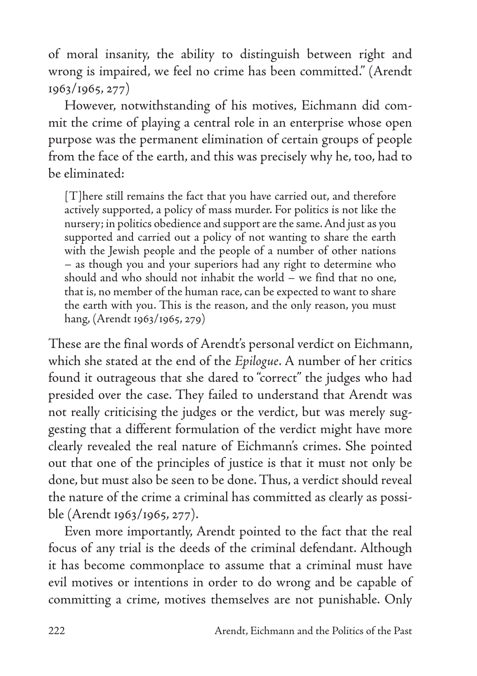of moral insanity, the ability to distinguish between right and wrong is impaired, we feel no crime has been committed." (Arendt 1963/1965, 277)

However, notwithstanding of his motives, Eichmann did commit the crime of playing a central role in an enterprise whose open purpose was the permanent elimination of certain groups of people from the face of the earth, and this was precisely why he, too, had to be eliminated:

[T]here still remains the fact that you have carried out, and therefore actively supported, a policy of mass murder. For politics is not like the nursery; in politics obedience and support are the same. And just as you supported and carried out a policy of not wanting to share the earth with the Jewish people and the people of a number of other nations – as though you and your superiors had any right to determine who should and who should not inhabit the world – we find that no one, that is, no member of the human race, can be expected to want to share the earth with you. This is the reason, and the only reason, you must hang, (Arendt 1963/1965, 279)

These are the final words of Arendt's personal verdict on Eichmann, which she stated at the end of the *Epilogue*. A number of her critics found it outrageous that she dared to "correct" the judges who had presided over the case. They failed to understand that Arendt was not really criticising the judges or the verdict, but was merely suggesting that a different formulation of the verdict might have more clearly revealed the real nature of Eichmann's crimes. She pointed out that one of the principles of justice is that it must not only be done, but must also be seen to be done. Thus, a verdict should reveal the nature of the crime a criminal has committed as clearly as possible (Arendt 1963/1965, 277).

Even more importantly, Arendt pointed to the fact that the real focus of any trial is the deeds of the criminal defendant. Although it has become commonplace to assume that a criminal must have evil motives or intentions in order to do wrong and be capable of committing a crime, motives themselves are not punishable. Only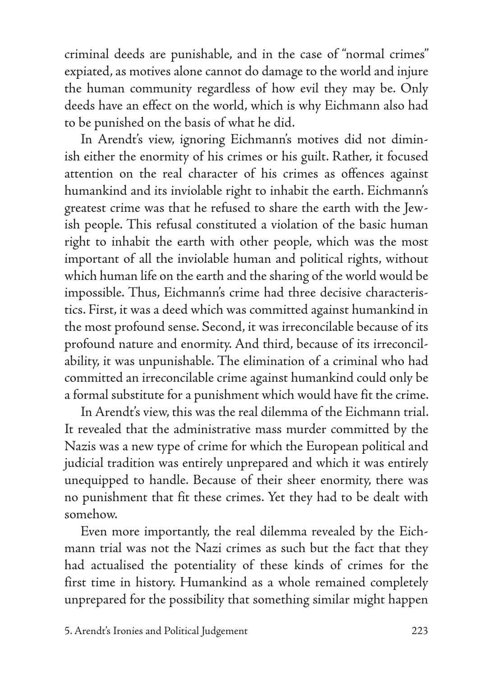criminal deeds are punishable, and in the case of "normal crimes" expiated, as motives alone cannot do damage to the world and injure the human community regardless of how evil they may be. Only deeds have an effect on the world, which is why Eichmann also had to be punished on the basis of what he did.

In Arendt's view, ignoring Eichmann's motives did not diminish either the enormity of his crimes or his guilt. Rather, it focused attention on the real character of his crimes as offences against humankind and its inviolable right to inhabit the earth. Eichmann's greatest crime was that he refused to share the earth with the Jewish people. This refusal constituted a violation of the basic human right to inhabit the earth with other people, which was the most important of all the inviolable human and political rights, without which human life on the earth and the sharing of the world would be impossible. Thus, Eichmann's crime had three decisive characteristics. First, it was a deed which was committed against humankind in the most profound sense. Second, it was irreconcilable because of its profound nature and enormity. And third, because of its irreconcilability, it was unpunishable. The elimination of a criminal who had committed an irreconcilable crime against humankind could only be a formal substitute for a punishment which would have fit the crime.

In Arendt's view, this was the real dilemma of the Eichmann trial. It revealed that the administrative mass murder committed by the Nazis was a new type of crime for which the European political and judicial tradition was entirely unprepared and which it was entirely unequipped to handle. Because of their sheer enormity, there was no punishment that fit these crimes. Yet they had to be dealt with somehow.

Even more importantly, the real dilemma revealed by the Eichmann trial was not the Nazi crimes as such but the fact that they had actualised the potentiality of these kinds of crimes for the first time in history. Humankind as a whole remained completely unprepared for the possibility that something similar might happen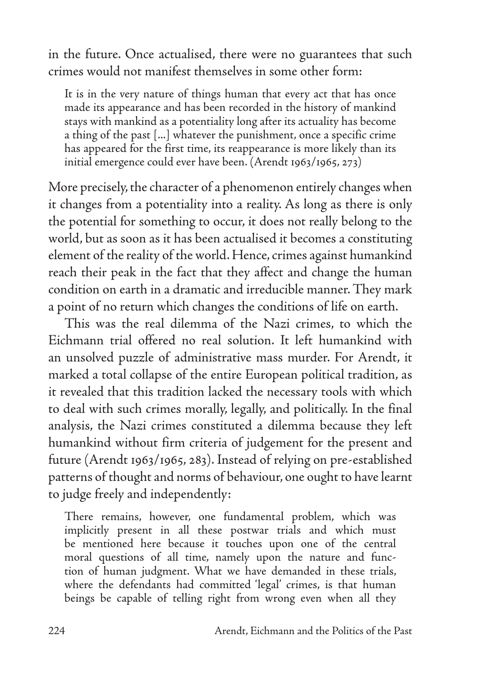in the future. Once actualised, there were no guarantees that such crimes would not manifest themselves in some other form:

It is in the very nature of things human that every act that has once made its appearance and has been recorded in the history of mankind stays with mankind as a potentiality long after its actuality has become a thing of the past [...] whatever the punishment, once a specific crime has appeared for the first time, its reappearance is more likely than its initial emergence could ever have been. (Arendt 1963/1965, 273)

More precisely, the character of a phenomenon entirely changes when it changes from a potentiality into a reality. As long as there is only the potential for something to occur, it does not really belong to the world, but as soon as it has been actualised it becomes a constituting element of the reality of the world. Hence, crimes against humankind reach their peak in the fact that they affect and change the human condition on earth in a dramatic and irreducible manner. They mark a point of no return which changes the conditions of life on earth.

This was the real dilemma of the Nazi crimes, to which the Eichmann trial offered no real solution. It left humankind with an unsolved puzzle of administrative mass murder. For Arendt, it marked a total collapse of the entire European political tradition, as it revealed that this tradition lacked the necessary tools with which to deal with such crimes morally, legally, and politically. In the final analysis, the Nazi crimes constituted a dilemma because they left humankind without firm criteria of judgement for the present and future (Arendt 1963/1965, 283). Instead of relying on pre-established patterns of thought and norms of behaviour, one ought to have learnt to judge freely and independently:

There remains, however, one fundamental problem, which was implicitly present in all these postwar trials and which must be mentioned here because it touches upon one of the central moral questions of all time, namely upon the nature and function of human judgment. What we have demanded in these trials, where the defendants had committed 'legal' crimes, is that human beings be capable of telling right from wrong even when all they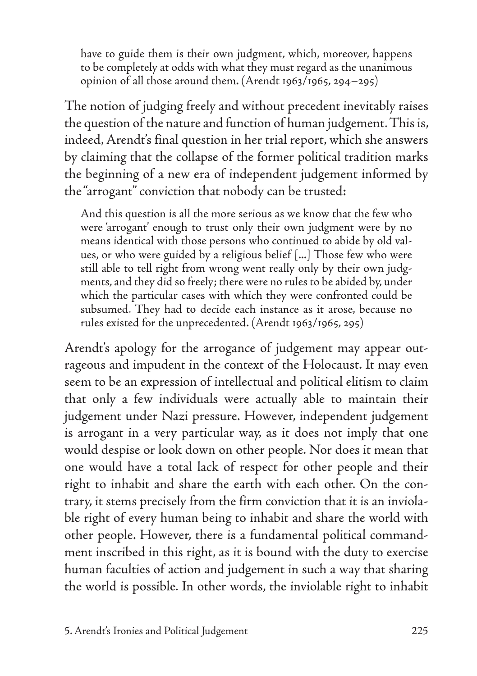have to guide them is their own judgment, which, moreover, happens to be completely at odds with what they must regard as the unanimous opinion of all those around them. (Arendt 1963/1965, 294–295)

The notion of judging freely and without precedent inevitably raises the question of the nature and function of human judgement. This is, indeed, Arendt's final question in her trial report, which she answers by claiming that the collapse of the former political tradition marks the beginning of a new era of independent judgement informed by the "arrogant" conviction that nobody can be trusted:

And this question is all the more serious as we know that the few who were 'arrogant' enough to trust only their own judgment were by no means identical with those persons who continued to abide by old values, or who were guided by a religious belief [...] Those few who were still able to tell right from wrong went really only by their own judgments, and they did so freely; there were no rules to be abided by, under which the particular cases with which they were confronted could be subsumed. They had to decide each instance as it arose, because no rules existed for the unprecedented. (Arendt 1963/1965, 295)

Arendt's apology for the arrogance of judgement may appear outrageous and impudent in the context of the Holocaust. It may even seem to be an expression of intellectual and political elitism to claim that only a few individuals were actually able to maintain their judgement under Nazi pressure. However, independent judgement is arrogant in a very particular way, as it does not imply that one would despise or look down on other people. Nor does it mean that one would have a total lack of respect for other people and their right to inhabit and share the earth with each other. On the contrary, it stems precisely from the firm conviction that it is an inviolable right of every human being to inhabit and share the world with other people. However, there is a fundamental political commandment inscribed in this right, as it is bound with the duty to exercise human faculties of action and judgement in such a way that sharing the world is possible. In other words, the inviolable right to inhabit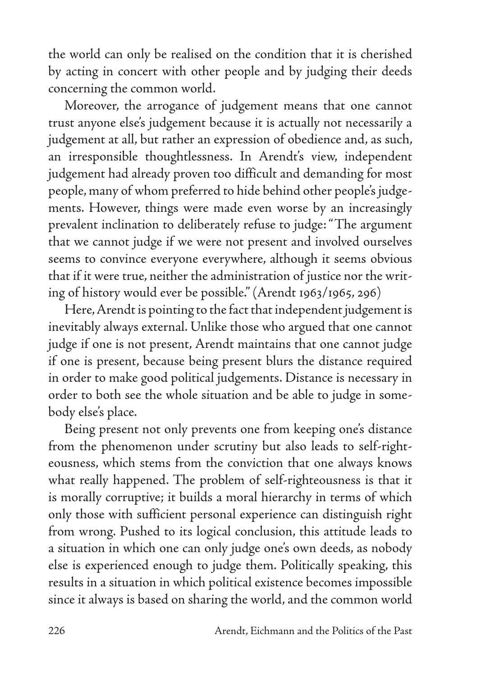the world can only be realised on the condition that it is cherished by acting in concert with other people and by judging their deeds concerning the common world.

Moreover, the arrogance of judgement means that one cannot trust anyone else's judgement because it is actually not necessarily a judgement at all, but rather an expression of obedience and, as such, an irresponsible thoughtlessness. In Arendt's view, independent judgement had already proven too difficult and demanding for most people, many of whom preferred to hide behind other people's judgements. However, things were made even worse by an increasingly prevalent inclination to deliberately refuse to judge: "The argument that we cannot judge if we were not present and involved ourselves seems to convince everyone everywhere, although it seems obvious that if it were true, neither the administration of justice nor the writing of history would ever be possible." (Arendt 1963/1965, 296)

Here, Arendt is pointing to the fact that independent judgement is inevitably always external. Unlike those who argued that one cannot judge if one is not present, Arendt maintains that one cannot judge if one is present, because being present blurs the distance required in order to make good political judgements. Distance is necessary in order to both see the whole situation and be able to judge in somebody else's place.

Being present not only prevents one from keeping one's distance from the phenomenon under scrutiny but also leads to self-righteousness, which stems from the conviction that one always knows what really happened. The problem of self-righteousness is that it is morally corruptive; it builds a moral hierarchy in terms of which only those with sufficient personal experience can distinguish right from wrong. Pushed to its logical conclusion, this attitude leads to a situation in which one can only judge one's own deeds, as nobody else is experienced enough to judge them. Politically speaking, this results in a situation in which political existence becomes impossible since it always is based on sharing the world, and the common world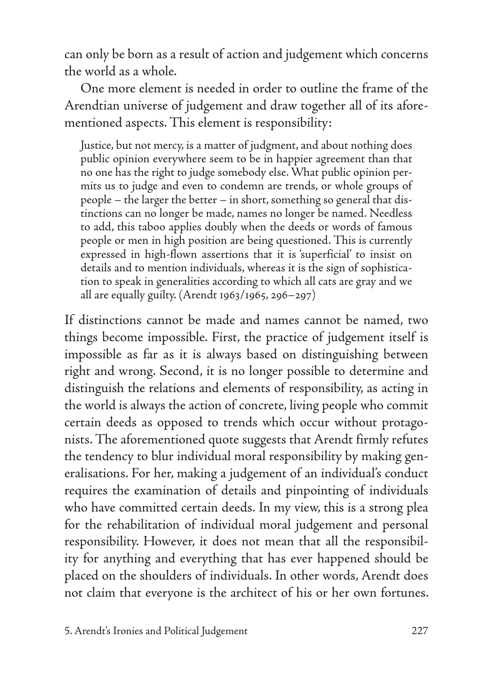can only be born as a result of action and judgement which concerns the world as a whole.

One more element is needed in order to outline the frame of the Arendtian universe of judgement and draw together all of its aforementioned aspects. This element is responsibility:

Justice, but not mercy, is a matter of judgment, and about nothing does public opinion everywhere seem to be in happier agreement than that no one has the right to judge somebody else. What public opinion permits us to judge and even to condemn are trends, or whole groups of people – the larger the better – in short, something so general that distinctions can no longer be made, names no longer be named. Needless to add, this taboo applies doubly when the deeds or words of famous people or men in high position are being questioned. This is currently expressed in high-flown assertions that it is 'superficial' to insist on details and to mention individuals, whereas it is the sign of sophistication to speak in generalities according to which all cats are gray and we all are equally guilty. (Arendt 1963/1965, 296–297)

If distinctions cannot be made and names cannot be named, two things become impossible. First, the practice of judgement itself is impossible as far as it is always based on distinguishing between right and wrong. Second, it is no longer possible to determine and distinguish the relations and elements of responsibility, as acting in the world is always the action of concrete, living people who commit certain deeds as opposed to trends which occur without protagonists. The aforementioned quote suggests that Arendt firmly refutes the tendency to blur individual moral responsibility by making generalisations. For her, making a judgement of an individual's conduct requires the examination of details and pinpointing of individuals who have committed certain deeds. In my view, this is a strong plea for the rehabilitation of individual moral judgement and personal responsibility. However, it does not mean that all the responsibility for anything and everything that has ever happened should be placed on the shoulders of individuals. In other words, Arendt does not claim that everyone is the architect of his or her own fortunes.